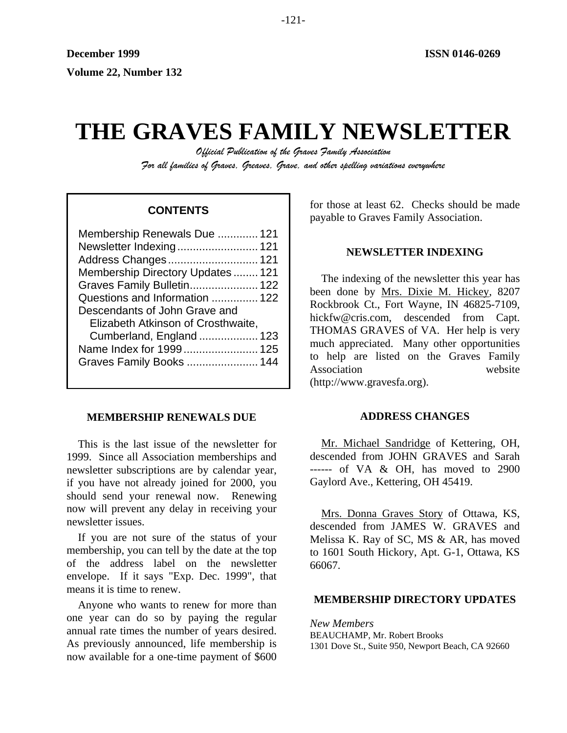# **THE GRAVES FAMILY NEWSLETTER**

*Official Publication of the Graves Family Association For all families of Graves, Greaves, Grave, and other spelling variations everywhere* 

| Membership Renewals Due  121       |
|------------------------------------|
| Newsletter Indexing 121            |
| Address Changes 121                |
| Membership Directory Updates 121   |
| Graves Family Bulletin 122         |
| Questions and Information  122     |
| Descendants of John Grave and      |
| Elizabeth Atkinson of Crosthwaite, |
| Cumberland, England  123           |
| Name Index for 1999 125            |
| Graves Family Books  144           |
|                                    |

### **MEMBERSHIP RENEWALS DUE**

This is the last issue of the newsletter for 1999. Since all Association memberships and newsletter subscriptions are by calendar year, if you have not already joined for 2000, you should send your renewal now. Renewing now will prevent any delay in receiving your newsletter issues.

If you are not sure of the status of your membership, you can tell by the date at the top of the address label on the newsletter envelope. If it says "Exp. Dec. 1999", that means it is time to renew.

Anyone who wants to renew for more than one year can do so by paying the regular annual rate times the number of years desired. As previously announced, life membership is now available for a one-time payment of \$600

for those at least 62. Checks should be made **CONTENTS** To those at least 02. Checks should be payable to Graves Family Association.

### **NEWSLETTER INDEXING**

The indexing of the newsletter this year has been done by Mrs. Dixie M. Hickey, 8207 Rockbrook Ct., Fort Wayne, IN 46825-7109, hickfw@cris.com, descended from Capt. THOMAS GRAVES of VA. Her help is very much appreciated. Many other opportunities to help are listed on the Graves Family Association website (http://www.gravesfa.org).

### **ADDRESS CHANGES**

Mr. Michael Sandridge of Kettering, OH, descended from JOHN GRAVES and Sarah ------ of VA & OH, has moved to 2900 Gaylord Ave., Kettering, OH 45419.

Mrs. Donna Graves Story of Ottawa, KS, descended from JAMES W. GRAVES and Melissa K. Ray of SC, MS & AR, has moved to 1601 South Hickory, Apt. G-1, Ottawa, KS 66067.

### **MEMBERSHIP DIRECTORY UPDATES**

*New Members*  BEAUCHAMP, Mr. Robert Brooks 1301 Dove St., Suite 950, Newport Beach, CA 92660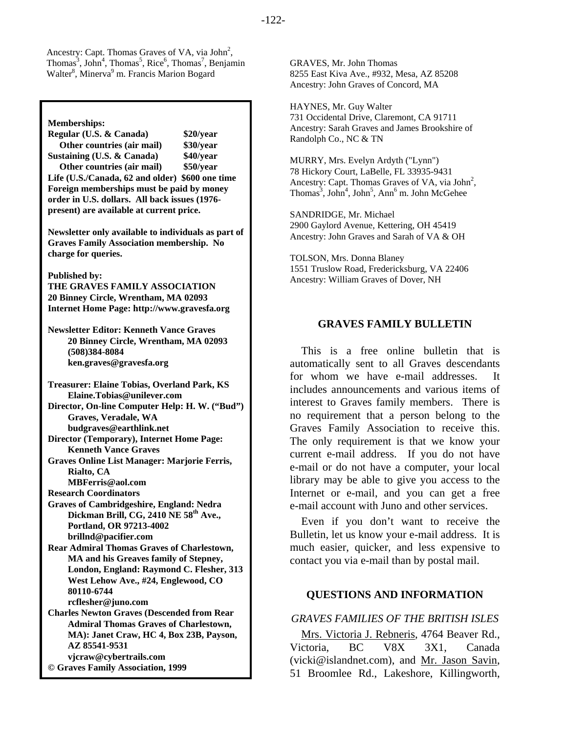Ancestry: Capt. Thomas Graves of VA, via  $John<sup>2</sup>$ ,  $\text{Thomas}^3$ ,  $\text{John}^4$ ,  $\text{Thomas}^5$ ,  $\text{Rice}^6$ ,  $\text{Thomas}^7$ , Benjamin Walter<sup>8</sup>, Minerva<sup>9</sup> m. Francis Marion Bogard

**Memberships:** 

**Regular (U.S. & Canada) \$20/year Other countries (air mail) \$30/year Sustaining (U.S. & Canada) \$40/year Other countries (air mail) \$50/year Life (U.S./Canada, 62 and older) \$600 one time Foreign memberships must be paid by money order in U.S. dollars. All back issues (1976 present) are available at current price.** 

**Newsletter only available to individuals as part of Graves Family Association membership. No charge for queries.** 

**Published by:** 

**THE GRAVES FAMILY ASSOCIATION 20 Binney Circle, Wrentham, MA 02093 Internet Home Page: http://www.gravesfa.org** 

**Newsletter Editor: Kenneth Vance Graves 20 Binney Circle, Wrentham, MA 02093 (508)384-8084 ken.graves@gravesfa.org** 

**Treasurer: Elaine Tobias, Overland Park, KS Elaine.Tobias@unilever.com Director, On-line Computer Help: H. W. ("Bud") Graves, Veradale, WA budgraves@earthlink.net Director (Temporary), Internet Home Page: Kenneth Vance Graves Graves Online List Manager: Marjorie Ferris, Rialto, CA MBFerris@aol.com Research Coordinators Graves of Cambridgeshire, England: Nedra**  Dickman Brill, CG, 2410 NE 58<sup>th</sup> Ave., **Portland, OR 97213-4002 brillnd@pacifier.com Rear Admiral Thomas Graves of Charlestown, MA and his Greaves family of Stepney, London, England: Raymond C. Flesher, 313 West Lehow Ave., #24, Englewood, CO 80110-6744 rcflesher@juno.com Charles Newton Graves (Descended from Rear Admiral Thomas Graves of Charlestown, MA): Janet Craw, HC 4, Box 23B, Payson, AZ 85541-9531** 

 **vjcraw@cybertrails.com © Graves Family Association, 1999** GRAVES, Mr. John Thomas 8255 East Kiva Ave., #932, Mesa, AZ 85208 Ancestry: John Graves of Concord, MA

HAYNES, Mr. Guy Walter 731 Occidental Drive, Claremont, CA 91711 Ancestry: Sarah Graves and James Brookshire of Randolph Co., NC & TN

MURRY, Mrs. Evelyn Ardyth ("Lynn") 78 Hickory Court, LaBelle, FL 33935-9431 Ancestry: Capt. Thomas Graves of VA, via John<sup>2</sup>, Thomas<sup>3</sup>, John<sup>4</sup>, John<sup>5</sup>, Ann<sup>6</sup> m. John McGehee

SANDRIDGE, Mr. Michael 2900 Gaylord Avenue, Kettering, OH 45419 Ancestry: John Graves and Sarah of VA & OH

TOLSON, Mrs. Donna Blaney 1551 Truslow Road, Fredericksburg, VA 22406 Ancestry: William Graves of Dover, NH

### **GRAVES FAMILY BULLETIN**

This is a free online bulletin that is automatically sent to all Graves descendants for whom we have e-mail addresses. It includes announcements and various items of interest to Graves family members. There is no requirement that a person belong to the Graves Family Association to receive this. The only requirement is that we know your current e-mail address. If you do not have e-mail or do not have a computer, your local library may be able to give you access to the Internet or e-mail, and you can get a free e-mail account with Juno and other services.

Even if you don't want to receive the Bulletin, let us know your e-mail address. It is much easier, quicker, and less expensive to contact you via e-mail than by postal mail.

### **QUESTIONS AND INFORMATION**

*GRAVES FAMILIES OF THE BRITISH ISLES* 

Mrs. Victoria J. Rebneris, 4764 Beaver Rd., Victoria, BC V8X 3X1, Canada (vicki@islandnet.com), and Mr. Jason Savin, 51 Broomlee Rd., Lakeshore, Killingworth,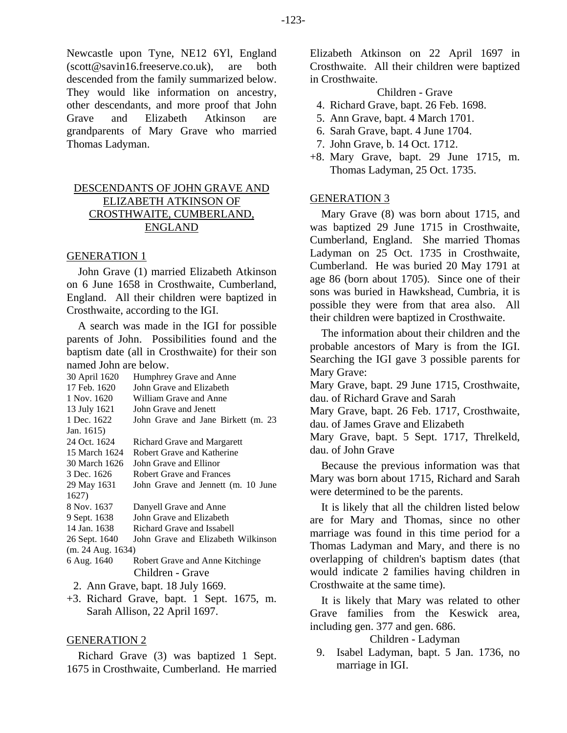Newcastle upon Tyne, NE12 6Yl, England (scott@savin16.freeserve.co.uk), are both descended from the family summarized below. They would like information on ancestry, other descendants, and more proof that John Grave and Elizabeth Atkinson are grandparents of Mary Grave who married Thomas Ladyman.

### DESCENDANTS OF JOHN GRAVE AND ELIZABETH ATKINSON OF CROSTHWAITE, CUMBERLAND, ENGLAND

### GENERATION 1

John Grave (1) married Elizabeth Atkinson on 6 June 1658 in Crosthwaite, Cumberland, England. All their children were baptized in Crosthwaite, according to the IGI.

A search was made in the IGI for possible parents of John. Possibilities found and the baptism date (all in Crosthwaite) for their son named John are below.

| 30 April 1620<br>17 Feb. 1620<br>1 Nov. 1620<br>13 July 1621<br>1 Dec. 1622 | Humphrey Grave and Anne<br>John Grave and Elizabeth<br>William Grave and Anne<br>John Grave and Jenett<br>John Grave and Jane Birkett (m. 23 |  |
|-----------------------------------------------------------------------------|----------------------------------------------------------------------------------------------------------------------------------------------|--|
| Jan. 1615)                                                                  |                                                                                                                                              |  |
| 24 Oct. 1624                                                                | Richard Grave and Margarett                                                                                                                  |  |
| 15 March 1624                                                               | Robert Grave and Katherine                                                                                                                   |  |
| 30 March 1626                                                               | John Grave and Ellinor                                                                                                                       |  |
| 3 Dec. 1626                                                                 | Robert Grave and Frances                                                                                                                     |  |
| 29 May 1631                                                                 | John Grave and Jennett (m. 10 June                                                                                                           |  |
| 1627)                                                                       |                                                                                                                                              |  |
| 8 Nov. 1637                                                                 | Danyell Grave and Anne                                                                                                                       |  |
| 9 Sept. 1638                                                                | John Grave and Elizabeth                                                                                                                     |  |
| 14 Jan. 1638                                                                | Richard Grave and Issabell                                                                                                                   |  |
| 26 Sept. 1640                                                               | John Grave and Elizabeth Wilkinson                                                                                                           |  |
| (m. 24 Aug. 1634)                                                           |                                                                                                                                              |  |
| 6 Aug. 1640                                                                 | Robert Grave and Anne Kitchinge                                                                                                              |  |
|                                                                             | Children - Grave                                                                                                                             |  |
| 2. Ann Grave, bapt. 18 July 1669.                                           |                                                                                                                                              |  |

+3. Richard Grave, bapt. 1 Sept. 1675, m. Sarah Allison, 22 April 1697.

### GENERATION 2

Richard Grave (3) was baptized 1 Sept. 1675 in Crosthwaite, Cumberland. He married Elizabeth Atkinson on 22 April 1697 in Crosthwaite. All their children were baptized in Crosthwaite.

Children - Grave

- 4. Richard Grave, bapt. 26 Feb. 1698.
- 5. Ann Grave, bapt. 4 March 1701.
- 6. Sarah Grave, bapt. 4 June 1704.
- 7. John Grave, b. 14 Oct. 1712.
- +8. Mary Grave, bapt. 29 June 1715, m. Thomas Ladyman, 25 Oct. 1735.

### GENERATION 3

Mary Grave (8) was born about 1715, and was baptized 29 June 1715 in Crosthwaite, Cumberland, England. She married Thomas Ladyman on 25 Oct. 1735 in Crosthwaite, Cumberland. He was buried 20 May 1791 at age 86 (born about 1705). Since one of their sons was buried in Hawkshead, Cumbria, it is possible they were from that area also. All their children were baptized in Crosthwaite.

The information about their children and the probable ancestors of Mary is from the IGI. Searching the IGI gave 3 possible parents for Mary Grave:

Mary Grave, bapt. 29 June 1715, Crosthwaite, dau. of Richard Grave and Sarah

Mary Grave, bapt. 26 Feb. 1717, Crosthwaite, dau. of James Grave and Elizabeth

Mary Grave, bapt. 5 Sept. 1717, Threlkeld, dau. of John Grave

Because the previous information was that Mary was born about 1715, Richard and Sarah were determined to be the parents.

It is likely that all the children listed below are for Mary and Thomas, since no other marriage was found in this time period for a Thomas Ladyman and Mary, and there is no overlapping of children's baptism dates (that would indicate 2 families having children in Crosthwaite at the same time).

It is likely that Mary was related to other Grave families from the Keswick area, including gen. 377 and gen. 686.

Children - Ladyman

 9. Isabel Ladyman, bapt. 5 Jan. 1736, no marriage in IGI.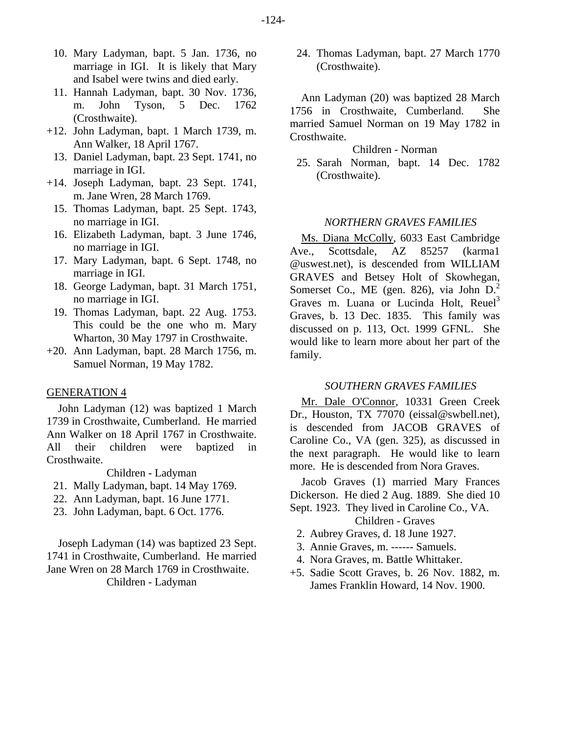- 10. Mary Ladyman, bapt. 5 Jan. 1736, no marriage in IGI. It is likely that Mary and Isabel were twins and died early.
- 11. Hannah Ladyman, bapt. 30 Nov. 1736, m. John Tyson, 5 Dec. 1762 (Crosthwaite).
- +12. John Ladyman, bapt. 1 March 1739, m.<br>Ann Walker, 18 April 1767.
	- Ann Walker, 18 April 1767. Children Norman 13. Daniel Ladyman, bapt. 23 Sept. 1741, no
- $+14.$  Joseph Ladyman, bapt. 23 Sept. 1741, m. Jane Wren, 28 March 1769.
	- 15. Thomas Ladyman, bapt. 25 Sept. 1743, no marriage in IGI. *NORTHERN GRAVES FAMILIES*
	- 16. Elizabeth Ladyman, bapt. 3 June 1746,
	- 17. Mary Ladyman, bapt. 6 Sept. 1748, no marriage in IGI.
	- 18. George Ladyman, bapt. 31 March 1751, no marriage in IGI.
	- 19. Thomas Ladyman, bapt. 22 Aug. 1753. This could be the one who m. Mary Wharton, 30 May 1797 in Crosthwaite.
- +20. Ann Ladyman, bapt. 28 March 1756, m. Samuel Norman, 19 May 1782.

John Ladyman (12) was baptized 1 March 1739 in Crosthwaite, Cumberland. He married Ann Walker on 18 April 1767 in Crosthwaite. All their children were baptized in Crosthwaite.

- 21. Mally Ladyman, bapt. 14 May 1769.
- 22. Ann Ladyman, bapt. 16 June 1771.
- 23. John Ladyman, bapt. 6 Oct. 1776. Sept. 1923. They lived in Caroli<br>Children Graves

 2. Aubrey Graves, d. 18 June 1927. Joseph Ladyman (14) was baptized 23 Sept. 1741 in Crosthwaite, Cumberland. He married Jane Wren on 28 March 1769 in Crosthwaite.

 24. Thomas Ladyman, bapt. 27 March 1770 (Crosthwaite).

Ann Ladyman (20) was baptized 28 March 1756 in Crosthwaite, Cumberland. She married Samuel Norman on 19 May 1782 in

Damer Ladyman, bapt. 25. Sept. 1741, 10<br>marriage in IGI. (Crosthwaite). (Crosthwaite).

Elizabeth Ladyman, bapt. 3 June 1/46,<br>no marriage in IGI. <br>Ave., Scottsdale. AZ 85257 (karmal Scottsdale. AZ 85257 @uswest.net), is descended from WILLIAM GRAVES and Betsey Holt of Skowhegan, Somerset Co., ME (gen. 826), via John  $D<sup>2</sup>$ . Graves m. Luana or Lucinda Holt, Reuel<sup>3</sup> Graves, b. 13 Dec. 1835. This family was discussed on p. 113, Oct. 1999 GFNL. She would like to learn more about her part of the family.

# *SOUTHERN GRAVES FAMILIES* GENERATION 4

Mr. Dale O'Connor, 10331 Green Creek Dr., Houston, TX 77070 (eissal@swbell.net), is descended from JACOB GRAVES of Caroline Co., VA (gen. 325), as discussed in the next paragraph. He would like to learn more. He is descended from Nora Graves.

Children - Ladyman<br>Ladyman Jacob Graves (1) married Mary Frances Dickerson. He died 2 Aug. 1889. She died 10 Sept. 1923. They lived in Caroline Co., VA.

- 
- 3. Annie Graves, m. ------ Samuels.
- 4. Nora Graves, m. Battle Whittaker.
- +5. Sadie Scott Graves, b. 26 Nov. 1882, m. Children - Ladyman James Franklin Howard, 14 Nov. 1900.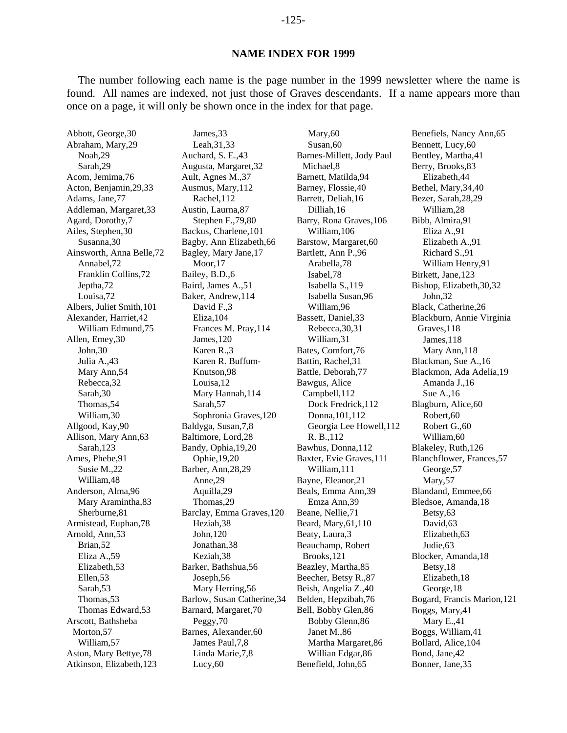The number following each name is the page number in the 1999 newsletter where the name is found. All names are indexed, not just those of Graves descendants. If a name appears more than once on a page, it will only be shown once in the index for that page.

Mary,60

Abbott, George,30 Abraham, Mary,29 Noah,29 Sarah,29 Acom, Jemima,76 Acton, Benjamin,29,33 Adams, Jane,77 Addleman, Margaret,33 Agard, Dorothy,7 Ailes, Stephen,30 Susanna,30 Ainsworth, Anna Belle,72 Annabel,72 Franklin Collins,72 Jeptha,72 Louisa,72 Albers, Juliet Smith,101 Alexander, Harriet,42 William Edmund,75 Allen, Emey,30 John,30 Julia A.,43 Mary Ann,54 Rebecca,32 Sarah,30 Thomas,54 William,30 Allgood, Kay,90 Allison, Mary Ann,63 Sarah,123 Ames, Phebe,91 Susie M.,22 William,48 Anderson, Alma,96 Mary Aramintha,83 Sherburne,81 Armistead, Euphan,78 Arnold, Ann,53 Brian,52 Eliza A.,59 Elizabeth,53 Ellen,53 Sarah,53 Thomas,53 Thomas Edward,53 Arscott, Bathsheba Morton,57 William,57 Aston, Mary Bettye,78 Atkinson, Elizabeth,123

Leah,31,33 Auchard, S. E.,43 Augusta, Margaret,32 Ault, Agnes M.,37 Ausmus, Mary,112 Rachel,112 Austin, Laurna,87 Stephen F.,79,80 Backus, Charlene,101 Bagby, Ann Elizabeth,66 Bagley, Mary Jane,17 Moor,17 Bailey, B.D.,6 Baird, James A.,51 Baker, Andrew,114 David F.,3 Eliza,104 Frances M. Pray,114 James,120 Karen R.,3 Karen R. Buffum-Knutson,98 Louisa,12 Mary Hannah,114 Sarah,57 Sophronia Graves,120 Baldyga, Susan,7,8 Baltimore, Lord,28 Bandy, Ophia,19,20 Ophie,19,20 Barber, Ann,28,29 Anne,29 Aquilla,29 Thomas,29 Barclay, Emma Graves,120 Heziah,38 John,120 Jonathan,38 Keziah,38 Barker, Bathshua,56 Joseph,56 Mary Herring,56 Barlow, Susan Catherine,34 Barnard, Margaret,70 Peggy,70 Barnes, Alexander,60 James Paul,7,8 Linda Marie,7,8 Lucy,60

James,33

Susan,60 Barnes-Millett, Jody Paul Michael,8 Barnett, Matilda,94 Barney, Flossie,40 Barrett, Deliah,16 Dilliah,16 Barry, Rona Graves,106 William,106 Barstow, Margaret,60 Bartlett, Ann P.,96 Arabella,78 Isabel,78 Isabella S.,119 Isabella Susan,96 William,96 Bassett, Daniel,33 Rebecca,30,31 William,31 Bates, Comfort,76 Battin, Rachel,31 Battle, Deborah,77 Bawgus, Alice Campbell,112 Dock Fredrick,112 Donna,101,112 Georgia Lee Howell,112 R. B.,112 Bawhus, Donna,112 Baxter, Evie Graves,111 William,111 Bayne, Eleanor,21 Beals, Emma Ann,39 Emza Ann,39 Beane, Nellie,71 Beard, Mary,61,110 Beaty, Laura,3 Beauchamp, Robert Brooks,121 Beazley, Martha,85 Beecher, Betsy R.,87 Beish, Angelia Z.,40 Belden, Hepzibah,76 Bell, Bobby Glen,86 Bobby Glenn,86 Janet M.,86 Martha Margaret,86 Willian Edgar,86 Benefield, John,65

Benefiels, Nancy Ann,65 Bennett, Lucy,60 Bentley, Martha,41 Berry, Brooks,83 Elizabeth,44 Bethel, Mary,34,40 Bezer, Sarah,28,29 William,28 Bibb, Almira,91 Eliza A.,91 Elizabeth A.,91 Richard S.,91 William Henry,91 Birkett, Jane,123 Bishop, Elizabeth,30,32 John,32 Black, Catherine,26 Blackburn, Annie Virginia Graves,118 James,118 Mary Ann,118 Blackman, Sue A.,16 Blackmon, Ada Adelia,19 Amanda J.,16 Sue A.,16 Blagburn, Alice,60 Robert,60 Robert G.,60 William,60 Blakeley, Ruth,126 Blanchflower, Frances,57 George,57 Mary,57 Blandand, Emmee,66 Bledsoe, Amanda,18 Betsy,63 David,63 Elizabeth,63 Judie,63 Blocker, Amanda,18 Betsy,18 Elizabeth,18 George,18 Bogard, Francis Marion,121 Boggs, Mary,41 Mary E.,41 Boggs, William,41 Bollard, Alice,104 Bond, Jane,42 Bonner, Jane,35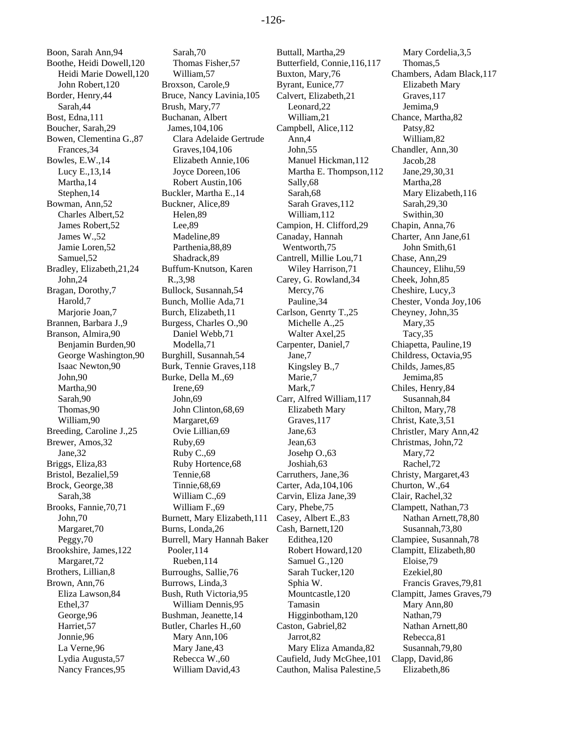Boon, Sarah Ann,94 Boothe, Heidi Dowell,120 Heidi Marie Dowell,120 John Robert,120 Border, Henry,44 Sarah,44 Bost, Edna,111 Boucher, Sarah,29 Bowen, Clementina G.,87 Frances,34 Bowles, E.W.,14 Lucy E.,13,14 Martha,14 Stephen,14 Bowman, Ann,52 Charles Albert,52 James Robert,52 James W.,52 Jamie Loren,52 Samuel,52 Bradley, Elizabeth,21,24 John,24 Bragan, Dorothy,7 Harold,7 Marjorie Joan,7 Brannen, Barbara J.,9 Branson, Almira,90 Benjamin Burden,90 George Washington,90 Isaac Newton,90 John,90 Martha,90 Sarah,90 Thomas,90 William,90 Breeding, Caroline J.,25 Brewer, Amos,32 Jane,32 Briggs, Eliza,83 Bristol, Bezaliel,59 Brock, George,38 Sarah,38 Brooks, Fannie,70,71 John,70 Margaret,70 Peggy,70 Brookshire, James,122 Margaret,72 Brothers, Lillian,8 Brown, Ann,76 Eliza Lawson,84 Ethel,37 George,96 Harriet,57 Jonnie,96 La Verne,96 Lydia Augusta,57 Nancy Frances,95

Sarah,70 Thomas Fisher,57 William,57 Broxson, Carole,9 Bruce, Nancy Lavinia,105 Brush, Mary,77 Buchanan, Albert James,104,106 Clara Adelaide Gertrude Graves,104,106 Elizabeth Annie,106 Joyce Doreen,106 Robert Austin,106 Buckler, Martha E.,14 Buckner, Alice,89 Helen,89 Lee,89 Madeline,89 Parthenia,88,89 Shadrack,89 Buffum-Knutson, Karen R.,3,98 Bullock, Susannah,54 Bunch, Mollie Ada,71 Burch, Elizabeth,11 Burgess, Charles O.,90 Daniel Webb,71 Modella,71 Burghill, Susannah,54 Burk, Tennie Graves,118 Burke, Della M.,69 Irene,69 John,69 John Clinton,68,69 Margaret,69 Ovie Lillian,69 Ruby,69 Ruby C.,69 Ruby Hortence,68 Tennie,68 Tinnie,68,69 William C.,69 William F.,69 Burnett, Mary Elizabeth,111 Burns, Londa,26 Burrell, Mary Hannah Baker Pooler,114 Rueben,114 Burroughs, Sallie,76 Burrows, Linda,3 Bush, Ruth Victoria,95 William Dennis,95 Bushman, Jeanette,14 Butler, Charles H.,60 Mary Ann,106 Mary Jane,43 Rebecca W.,60 William David,43

Buttall, Martha,29 Butterfield, Connie,116,117 Buxton, Mary,76 Byrant, Eunice,77 Calvert, Elizabeth,21 Leonard,22 William,21 Campbell, Alice,112 Ann,4 John,55 Manuel Hickman,112 Martha E. Thompson,112 Sally,68 Sarah,68 Sarah Graves,112 William,112 Campion, H. Clifford,29 Canaday, Hannah Wentworth,75 Cantrell, Millie Lou,71 Wiley Harrison,71 Carey, G. Rowland,34 Mercy,76 Pauline,34 Carlson, Genrty T.,25 Michelle A.,25 Walter Axel,25 Carpenter, Daniel,7 Jane,7 Kingsley B.,7 Marie,7 Mark,7 Carr, Alfred William,117 Elizabeth Mary Graves,117 Jane,63 Jean,63 Josehp O.,63 Joshiah,63 Carruthers, Jane,36 Carter, Ada,104,106 Carvin, Eliza Jane,39 Cary, Phebe,75 Casey, Albert E.,83 Cash, Barnett,120 Edithea,120 Robert Howard,120 Samuel G.,120 Sarah Tucker,120 Sphia W. Mountcastle,120 Tamasin Higginbotham,120 Caston, Gabriel,82 Jarrot,82 Mary Eliza Amanda,82 Caufield, Judy McGhee,101 Cauthon, Malisa Palestine,5

Mary Cordelia,3,5 Thomas,5 Chambers, Adam Black,117 Elizabeth Mary Graves,117 Jemima,9 Chance, Martha,82 Patsy,82 William,82 Chandler, Ann,30 Jacob,28 Jane,29,30,31 Martha,28 Mary Elizabeth,116 Sarah,29,30 Swithin,30 Chapin, Anna,76 Charter, Ann Jane,61 John Smith,61 Chase, Ann,29 Chauncey, Elihu,59 Cheek, John,85 Cheshire, Lucy,3 Chester, Vonda Joy,106 Cheyney, John,35 Mary,35 Tacy,35 Chiapetta, Pauline,19 Childress, Octavia,95 Childs, James,85 Jemima,85 Chiles, Henry,84 Susannah,84 Chilton, Mary,78 Christ, Kate,3,51 Christler, Mary Ann,42 Christmas, John,72 Mary,72 Rachel,72 Christy, Margaret,43 Churton, W.,64 Clair, Rachel,32 Clampett, Nathan,73 Nathan Arnett,78,80 Susannah,73,80 Clampiee, Susannah,78 Clampitt, Elizabeth,80 Eloise,79 Ezekiel,80 Francis Graves,79,81 Clampitt, James Graves,79 Mary Ann,80 Nathan,79 Nathan Arnett,80 Rebecca,81 Susannah,79,80 Clapp, David,86 Elizabeth,86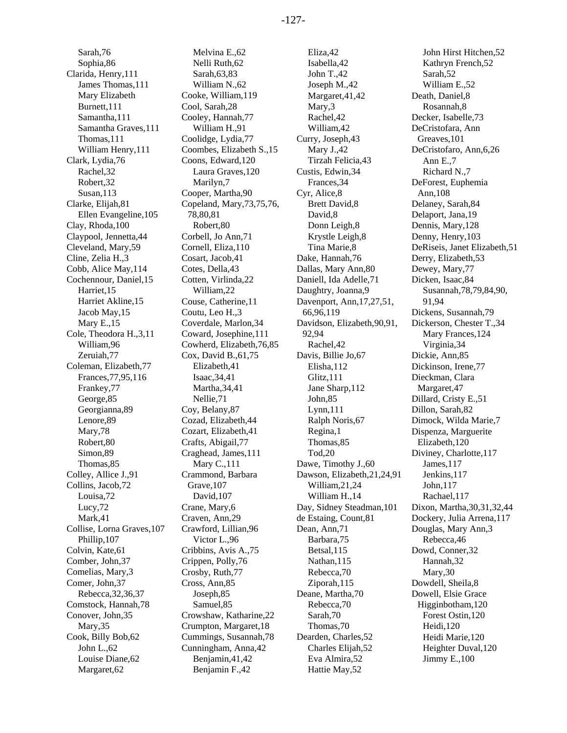Sarah,76 Sophia,86 Clarida, Henry,111 James Thomas,111 Mary Elizabeth Burnett,111 Samantha,111 Samantha Graves,111 Thomas,111 William Henry,111 Clark, Lydia,76 Rachel,32 Robert,32 Susan,113 Clarke, Elijah,81 Ellen Evangeline,105 Clay, Rhoda,100 Claypool, Jennetta,44 Cleveland, Mary,59 Cline, Zelia H.,3 Cobb, Alice May,114 Cochennour, Daniel,15 Harriet,15 Harriet Akline,15 Jacob May,15 Mary E<sub>.</sub>15 Cole, Theodora H.,3,11 William,96 Zeruiah,77 Coleman, Elizabeth,77 Frances,77,95,116 Frankey,77 George,85 Georgianna,89 Lenore,89 Mary,78 Robert,80 Simon,89 Thomas,85 Colley, Allice J.,91 Collins, Jacob,72 Louisa,72 Lucy,72 Mark,41 Collise, Lorna Graves,107 Phillip,107 Colvin, Kate,61 Comber, John,37 Comelias, Mary,3 Comer, John,37 Rebecca,32,36,37 Comstock, Hannah,78 Conover, John,35 Mary,35 Cook, Billy Bob,62 John L.,62 Louise Diane,62 Margaret,62

Melvina E.,62 Nelli Ruth,62 Sarah,63,83 William N.,62 Cooke, William,119 Cool, Sarah,28 Cooley, Hannah,77 William H.,91 Coolidge, Lydia,77 Coombes, Elizabeth S.,15 Coons, Edward,120 Laura Graves,120 Marilyn,7 Cooper, Martha,90 Copeland, Mary,73,75,76, 78,80,81 Robert,80 Corbell, Jo Ann,71 Cornell, Eliza,110 Cosart, Jacob,41 Cotes, Della,43 Cotten, Virlinda,22 William,22 Couse, Catherine,11 Coutu, Leo H.,3 Coverdale, Marlon,34 Coward, Josephine,111 Cowherd, Elizabeth,76,85 Cox, David B.,61,75 Elizabeth,41 Isaac,34,41 Martha,34,41 Nellie,71 Coy, Belany,87 Cozad, Elizabeth,44 Cozart, Elizabeth,41 Crafts, Abigail,77 Craghead, James,111 Mary C.,111 Crammond, Barbara Grave,107 David,107 Crane, Mary,6 Craven, Ann,29 Crawford, Lillian,96 Victor L.,96 Cribbins, Avis A.,75 Crippen, Polly,76 Crosby, Ruth,77 Cross, Ann,85 Joseph,85 Samuel,85 Crowshaw, Katharine,22 Crumpton, Margaret,18 Cummings, Susannah,78 Cunningham, Anna,42 Benjamin,41,42 Benjamin F.,42

Eliza,42 Isabella,42 John T.,42 Joseph M.,42 Margaret,41,42 Mary,3 Rachel,42 William,42 Curry, Joseph,43 Mary J.,42 Tirzah Felicia,43 Custis, Edwin,34 Frances,34 Cyr, Alice,8 Brett David,8 David,8 Donn Leigh,8 Krystle Leigh,8 Tina Marie,8 Dake, Hannah,76 Dallas, Mary Ann,80 Daniell, Ida Adelle,71 Daughtry, Joanna,9 Davenport, Ann,17,27,51, 66,96,119 Davidson, Elizabeth,90,91, 92,94 Rachel,42 Davis, Billie Jo,67 Elisha,112 Glitz,111 Jane Sharp,112 John,85 Lynn,111 Ralph Noris,67 Regina,1 Thomas,85 Tod,20 Dawe, Timothy J.,60 Dawson, Elizabeth,21,24,91 William,21,24 William H.,14 Day, Sidney Steadman,101 de Estaing, Count,81 Dean, Ann,71 Barbara,75 Betsal,115 Nathan,115 Rebecca,70 Ziporah,115 Deane, Martha,70 Rebecca,70 Sarah,70 Thomas,70 Dearden, Charles,52 Charles Elijah,52 Eva Almira,52 Hattie May,52

John Hirst Hitchen,52 Kathryn French,52 Sarah,52 William E.,52 Death, Daniel,8 Rosannah,8 Decker, Isabelle,73 DeCristofara, Ann Greaves,101 DeCristofaro, Ann,6,26 Ann E.,7 Richard N.,7 DeForest, Euphemia Ann,108 Delaney, Sarah,84 Delaport, Jana,19 Dennis, Mary,128 Denny, Henry,103 DeRiseis, Janet Elizabeth,51 Derry, Elizabeth,53 Dewey, Mary,77 Dicken, Isaac,84 Susannah,78,79,84,90, 91,94 Dickens, Susannah,79 Dickerson, Chester T.,34 Mary Frances,124 Virginia,34 Dickie, Ann,85 Dickinson, Irene,77 Dieckman, Clara Margaret,47 Dillard, Cristy E.,51 Dillon, Sarah,82 Dimock, Wilda Marie,7 Dispenza, Marguerite Elizabeth,120 Diviney, Charlotte,117 James,117 Jenkins,117 John,117 Rachael,117 Dixon, Martha,30,31,32,44 Dockery, Julia Arrena,117 Douglas, Mary Ann,3 Rebecca,46 Dowd, Conner,32 Hannah,32 Mary,30 Dowdell, Sheila,8 Dowell, Elsie Grace Higginbotham,120 Forest Ostin,120 Heidi,120 Heidi Marie,120 Heighter Duval,120 Jimmy E.,100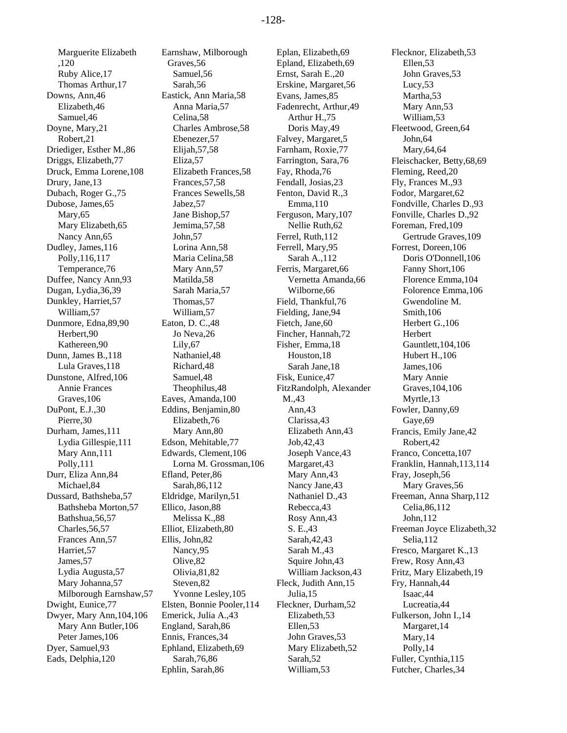Marguerite Elizabeth ,120 Ruby Alice,17 Thomas Arthur,17 Downs, Ann,46 Elizabeth,46 Samuel,46 Doyne, Mary,21 Robert,21 Driediger, Esther M.,86 Driggs, Elizabeth,77 Druck, Emma Lorene,108 Drury, Jane,13 Dubach, Roger G.,75 Dubose, James,65 Mary,65 Mary Elizabeth,65 Nancy Ann,65 Dudley, James,116 Polly,116,117 Temperance,76 Duffee, Nancy Ann,93 Dugan, Lydia,36,39 Dunkley, Harriet,57 William,57 Dunmore, Edna,89,90 Herbert,90 Kathereen,90 Dunn, James B.,118 Lula Graves,118 Dunstone, Alfred,106 Annie Frances Graves,106 DuPont, E.J.,30 Pierre,30 Durham, James,111 Lydia Gillespie,111 Mary Ann,111 Polly,111 Durr, Eliza Ann,84 Michael,84 Dussard, Bathsheba,57 Bathsheba Morton,57 Bathshua,56,57 Charles,56,57 Frances Ann,57 Harriet,57 James,57 Lydia Augusta,57 Mary Johanna,57 Milborough Earnshaw,57 Dwight, Eunice,77 Dwyer, Mary Ann,104,106 Mary Ann Butler,106 Peter James,106 Dyer, Samuel,93 Eads, Delphia,120

Earnshaw, Milborough Graves,56 Samuel,56 Sarah,56 Eastick, Ann Maria,58 Anna Maria,57 Celina,58 Charles Ambrose,58 Ebenezer,57 Elijah,57,58 Eliza,57 Elizabeth Frances,58 Frances,57,58 Frances Sewells,58 Jabez,57 Jane Bishop,57 Jemima,57,58 John,57 Lorina Ann,58 Maria Celina,58 Mary Ann,57 Matilda,58 Sarah Maria,57 Thomas,57 William,57 Eaton, D. C.,48 Jo Neva,26 Lily,67 Nathaniel,48 Richard,48 Samuel,48 Theophilus,48 Eaves, Amanda,100 Eddins, Benjamin,80 Elizabeth,76 Mary Ann,80 Edson, Mehitable,77 Edwards, Clement,106 Lorna M. Grossman,106 Efland, Peter,86 Sarah,86,112 Eldridge, Marilyn,51 Ellico, Jason,88 Melissa K.,88 Elliot, Elizabeth,80 Ellis, John,82 Nancy,95 Olive,82 Olivia,81,82 Steven,82 Yvonne Lesley,105 Elsten, Bonnie Pooler,114 Emerick, Julia A.,43 England, Sarah,86 Ennis, Frances,34 Ephland, Elizabeth,69 Sarah,76,86 Ephlin, Sarah,86

Eplan, Elizabeth,69 Epland, Elizabeth,69 Ernst, Sarah E.,20 Erskine, Margaret,56 Evans, James,85 Fadenrecht, Arthur,49 Arthur H.,75 Doris May,49 Falvey, Margaret,5 Farnham, Roxie,77 Farrington, Sara,76 Fay, Rhoda,76 Fendall, Josias,23 Fenton, David R.,3 Emma,110 Ferguson, Mary,107 Nellie Ruth,62 Ferrel, Ruth,112 Ferrell, Mary,95 Sarah A.,112 Ferris, Margaret,66 Vernetta Amanda,66 Wilborne,66 Field, Thankful,76 Fielding, Jane,94 Fietch, Jane,60 Fincher, Hannah,72 Fisher, Emma,18 Houston,18 Sarah Jane,18 Fisk, Eunice,47 FitzRandolph, Alexander M.,43 Ann,43 Clarissa,43 Elizabeth Ann,43 Job,42,43 Joseph Vance,43 Margaret,43 Mary Ann,43 Nancy Jane,43 Nathaniel D.,43 Rebecca,43 Rosy Ann,43 S. E.,43 Sarah,42,43 Sarah M.,43 Squire John,43 William Jackson,43 Fleck, Judith Ann,15 Julia,15 Fleckner, Durham,52 Elizabeth,53 Ellen,53 John Graves,53 Mary Elizabeth,52 Sarah,52 William,53

Flecknor, Elizabeth,53 Ellen,53 John Graves,53 Lucy,53 Martha,53 Mary Ann,53 William,53 Fleetwood, Green,64 John,64 Mary,64,64 Fleischacker, Betty,68,69 Fleming, Reed,20 Fly, Frances M.,93 Fodor, Margaret,62 Fondville, Charles D.,93 Fonville, Charles D.,92 Foreman, Fred,109 Gertrude Graves,109 Forrest, Doreen,106 Doris O'Donnell,106 Fanny Short,106 Florence Emma,104 Folorence Emma,106 Gwendoline M. Smith,106 Herbert G.,106 **Herbert** Gauntlett,104,106 Hubert H.,106 James,106 Mary Annie Graves,104,106 Myrtle,13 Fowler, Danny,69 Gaye,69 Francis, Emily Jane,42 Robert,42 Franco, Concetta,107 Franklin, Hannah,113,114 Fray, Joseph,56 Mary Graves,56 Freeman, Anna Sharp,112 Celia,86,112 John,112 Freeman Joyce Elizabeth,32 Selia,112 Fresco, Margaret K.,13 Frew, Rosy Ann,43 Fritz, Mary Elizabeth,19 Fry, Hannah,44 Isaac,44 Lucreatia,44 Fulkerson, John I.,14 Margaret,14 Mary,14 Polly,14 Fuller, Cynthia,115 Futcher, Charles,34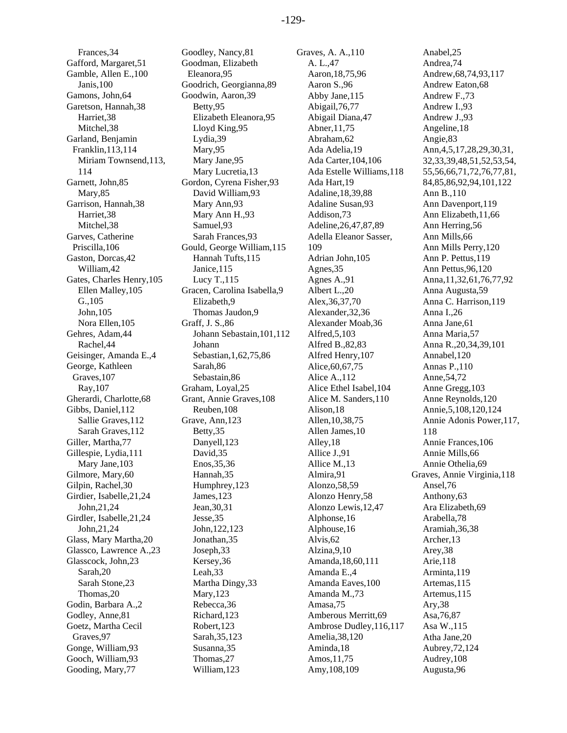Frances,34 Gafford, Margaret,51 Gamble, Allen E.,100 Janis,100 Gamons, John,64 Garetson, Hannah,38 Harriet,38 Mitchel,38 Garland, Benjamin Franklin,113,114 Miriam Townsend,113, 114 Garnett, John,85 Mary,85 Garrison, Hannah,38 Harriet,38 Mitchel,38 Garves, Catherine Priscilla,106 Gaston, Dorcas,42 William,42 Gates, Charles Henry,105 Ellen Malley,105 G.,105 John,105 Nora Ellen,105 Gehres, Adam,44 Rachel,44 Geisinger, Amanda E.,4 George, Kathleen Graves,107 Ray,107 Gherardi, Charlotte,68 Gibbs, Daniel,112 Sallie Graves,112 Sarah Graves,112 Giller, Martha,77 Gillespie, Lydia,111 Mary Jane,103 Gilmore, Mary,60 Gilpin, Rachel,30 Girdier, Isabelle,21,24 John,21,24 Girdler, Isabelle,21,24 John,21,24 Glass, Mary Martha,20 Glassco, Lawrence A.,23 Glasscock, John,23 Sarah,20 Sarah Stone,23 Thomas,20 Godin, Barbara A.,2 Godley, Anne,81 Goetz, Martha Cecil Graves,97 Gonge, William,93 Gooch, William,93 Gooding, Mary,77

Goodley, Nancy,81 Goodman, Elizabeth Eleanora,95 Goodrich, Georgianna,89 Goodwin, Aaron,39 Betty,95 Elizabeth Eleanora,95 Lloyd King,95 Lydia,39 Mary,95 Mary Jane,95 Mary Lucretia,13 Gordon, Cyrena Fisher,93 David William,93 Mary Ann,93 Mary Ann H.,93 Samuel,93 Sarah Frances,93 Gould, George William,115 Hannah Tufts,115 Janice,115 Lucy T.,115 Gracen, Carolina Isabella,9 Elizabeth,9 Thomas Jaudon,9 Graff, J. S.,86 Johann Sebastain,101,112 Johann Sebastian,1,62,75,86 Sarah,86 Sebastain,86 Graham, Loyal,25 Grant, Annie Graves,108 Reuben,108 Grave, Ann,123 Betty,35 Danyell,123 David,35 Enos,35,36 Hannah,35 Humphrey,123 James,123 Jean,30,31 Jesse,35 John,122,123 Jonathan,35 Joseph,33 Kersey,36 Leah,33 Martha Dingy,33 Mary,123 Rebecca,36 Richard,123 Robert,123 Sarah,35,123 Susanna,35 Thomas,27 William,123

Graves, A. A.,110 A. L.,47 Aaron,18,75,96 Aaron S.,96 Abby Jane,115 Abigail,76,77 Abigail Diana,47 Abner,11,75 Abraham,62 Ada Adelia,19 Ada Carter,104,106 Ada Estelle Williams,118 Ada Hart,19 Adaline,18,39,88 Adaline Susan,93 Addison,73 Adeline,26,47,87,89 Adella Eleanor Sasser, 109 Adrian John,105 Agnes,35 Agnes A.,91 Albert L.,20 Alex,36,37,70 Alexander,32,36 Alexander Moab,36 Alfred,5,103 Alfred B.,82,83 Alfred Henry,107 Alice,60,67,75 Alice A.,112 Alice Ethel Isabel,104 Alice M. Sanders,110 Alison,18 Allen,10,38,75 Allen James,10 Alley,18 Allice J.,91 Allice M.,13 Almira,91 Alonzo,58,59 Alonzo Henry,58 Alonzo Lewis,12,47 Alphonse,16 Alphouse,16 Alvis,62 Alzina,9,10 Amanda,18,60,111 Amanda E.,4 Amanda Eaves,100 Amanda M.,73 Amasa,75 Amberous Merritt,69 Ambrose Dudley,116,117 Amelia,38,120 Aminda,18 Amos,11,75 Amy,108,109

Anabel,25 Andrea,74 Andrew,68,74,93,117 Andrew Eaton,68 Andrew F.,73 Andrew I.,93 Andrew J.,93 Angeline,18 Angie,83 Ann,4,5,17,28,29,30,31, 32,33,39,48,51,52,53,54, 55,56,66,71,72,76,77,81, 84,85,86,92,94,101,122 Ann B.,110 Ann Davenport,119 Ann Elizabeth,11,66 Ann Herring,56 Ann Mills,66 Ann Mills Perry,120 Ann P. Pettus,119 Ann Pettus,96,120 Anna,11,32,61,76,77,92 Anna Augusta,59 Anna C. Harrison,119 Anna I.,26 Anna Jane,61 Anna Maria,57 Anna R.,20,34,39,101 Annabel,120 Annas P.,110 Anne,54,72 Anne Gregg,103 Anne Reynolds,120 Annie,5,108,120,124 Annie Adonis Power,117, 118 Annie Frances,106 Annie Mills,66 Annie Othelia,69 Graves, Annie Virginia,118 Ansel,76 Anthony,63 Ara Elizabeth,69 Arabella,78 Aramiah,36,38 Archer,13 Arey,38 Arie,118 Arminta,119 Artemas,115 Artemus,115 Ary,38 Asa,76,87 Asa W.,115 Atha Jane,20 Aubrey,72,124 Audrey,108 Augusta,96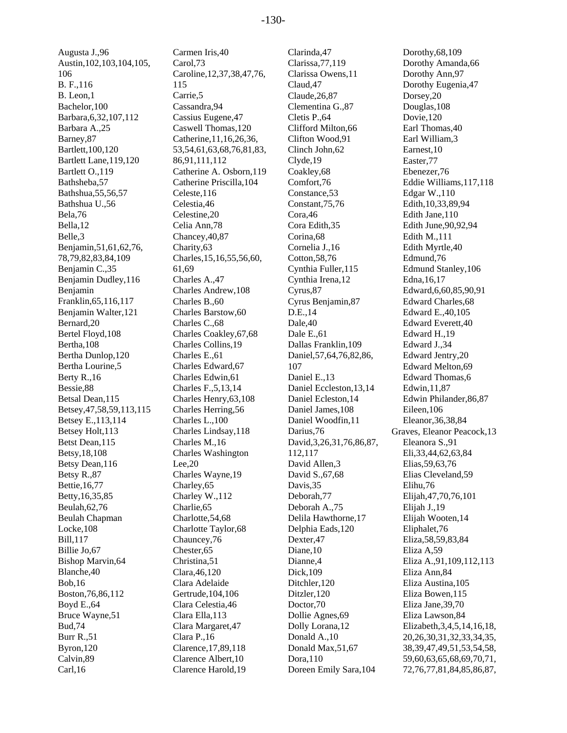Augusta J.,96 Austin,102,103,104,105, 106 B. F.,116 B. Leon,1 Bachelor,100 Barbara,6,32,107,112 Barbara A.,25 Barney,87 Bartlett,100,120 Bartlett Lane,119,120 Bartlett O.,119 Bathsheba,57 Bathshua,55,56,57 Bathshua U.,56 Bela,76 Bella,12 Belle,3 Benjamin,51,61,62,76, 78,79,82,83,84,109 Benjamin C.,35 Benjamin Dudley,116 Benjamin Franklin,65,116,117 Benjamin Walter,121 Bernard,20 Bertel Floyd,108 Bertha,108 Bertha Dunlop,120 Bertha Lourine,5 Berty R.,16 Bessie,88 Betsal Dean,115 Betsey,47,58,59,113,115 Betsey E.,113,114 Betsey Holt,113 Betst Dean,115 Betsy,18,108 Betsy Dean,116 Betsy R.,87 Bettie,16,77 Betty,16,35,85 Beulah,62,76 Beulah Chapman Locke,108 Bill,117 Billie Jo,67 Bishop Marvin,64 Blanche,40 Bob,16 Boston,76,86,112 Boyd E.,64 Bruce Wayne,51 Bud,74 Burr R.,51 Byron,120 Calvin,89 Carl,16

Carmen Iris,40 Carol,73 Caroline,12,37,38,47,76, 115 Carrie,5 Cassandra,94 Cassius Eugene,47 Caswell Thomas,120 Catherine,11,16,26,36, 53,54,61,63,68,76,81,83, 86,91,111,112 Catherine A. Osborn,119 Catherine Priscilla,104 Celeste,116 Celestia,46 Celestine,20 Celia Ann,78 Chancey,40,87 Charity,63 Charles,15,16,55,56,60, 61,69 Charles A.,47 Charles Andrew,108 Charles B.,60 Charles Barstow,60 Charles C.,68 Charles Coakley,67,68 Charles Collins,19 Charles E.,61 Charles Edward,67 Charles Edwin,61 Charles F.,5,13,14 Charles Henry,63,108 Charles Herring,56 Charles L.,100 Charles Lindsay,118 Charles M.,16 Charles Washington Lee,20 Charles Wayne,19 Charley,65 Charley W.,112 Charlie,65 Charlotte,54,68 Charlotte Taylor,68 Chauncey,76 Chester,65 Christina,51 Clara,46,120 Clara Adelaide Gertrude,104,106 Clara Celestia,46 Clara Ella,113 Clara Margaret,47 Clara P.,16 Clarence,17,89,118 Clarence Albert,10 Clarence Harold,19

Clarinda,47 Clarissa,77,119 Clarissa Owens,11 Claud,47 Claude,26,87 Clementina G.,87 Cletis P.,64 Clifford Milton,66 Clifton Wood,91 Clinch John,62 Clyde,19 Coakley,68 Comfort,76 Constance,53 Constant,75,76 Cora,46 Cora Edith,35 Corina,68 Cornelia J.,16 Cotton,58,76 Cynthia Fuller,115 Cynthia Irena,12 Cyrus,87 Cyrus Benjamin,87 D.E.,14 Dale,40 Dale E.,61 Dallas Franklin,109 Daniel,57,64,76,82,86, 107 Daniel E.,13 Daniel Eccleston,13,14 Daniel Ecleston,14 Daniel James,108 Daniel Woodfin,11 Darius,76 David,3,26,31,76,86,87, 112,117 David Allen,3 David S.,67,68 Davis,35 Deborah,77 Deborah A.,75 Delila Hawthorne,17 Delphia Eads,120 Dexter,47 Diane,10 Dianne,4 Dick,109 Ditchler,120 Ditzler,120 Doctor,70 Dollie Agnes,69 Dolly Lorana,12 Donald A.,10 Donald Max,51,67 Dora,110 Doreen Emily Sara,104

Dorothy,68,109 Dorothy Amanda,66 Dorothy Ann,97 Dorothy Eugenia,47 Dorsey,20 Douglas,108 Dovie,120 Earl Thomas,40 Earl William,3 Earnest,10 Easter,77 Ebenezer,76 Eddie Williams,117,118 Edgar W.,110 Edith,10,33,89,94 Edith Jane,110 Edith June,90,92,94 Edith M.,111 Edith Myrtle,40 Edmund,76 Edmund Stanley,106 Edna,16,17 Edward,6,60,85,90,91 Edward Charles,68 Edward E.,40,105 Edward Everett,40 Edward H.,19 Edward J.,34 Edward Jentry,20 Edward Melton,69 Edward Thomas,6 Edwin,11,87 Edwin Philander,86,87 Eileen,106 Eleanor,36,38,84 Graves, Eleanor Peacock,13 Eleanora S.,91 Eli,33,44,62,63,84 Elias,59,63,76 Elias Cleveland,59 Elihu,76 Elijah,47,70,76,101 Elijah J.,19 Elijah Wooten,14 Eliphalet,76 Eliza,58,59,83,84 Eliza A,59 Eliza A.,91,109,112,113 Eliza Ann,84 Eliza Austina,105 Eliza Bowen,115 Eliza Jane,39,70 Eliza Lawson,84 Elizabeth,3,4,5,14,16,18, 20,26,30,31,32,33,34,35, 38,39,47,49,51,53,54,58, 59,60,63,65,68,69,70,71, 72,76,77,81,84,85,86,87,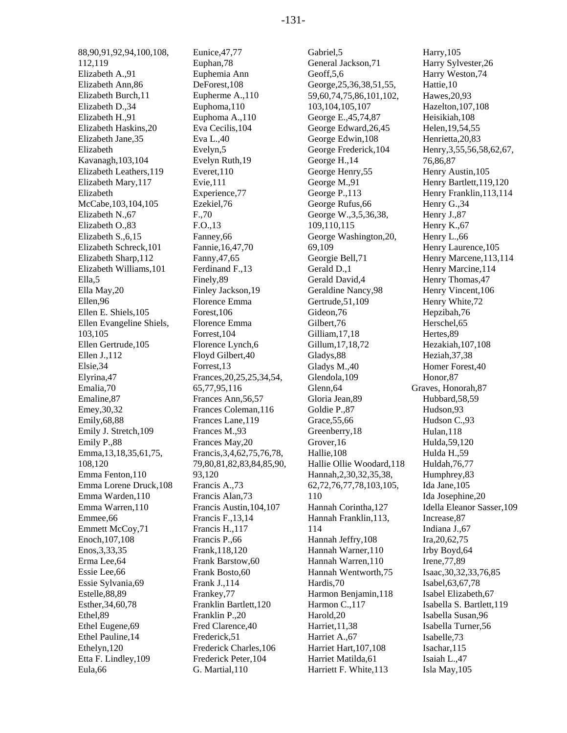88,90,91,92,94,100,108, 112,119 Elizabeth A.,91 Elizabeth Ann,86 Elizabeth Burch,11 Elizabeth D.,34 Elizabeth H.,91 Elizabeth Haskins,20 Elizabeth Jane,35 Elizabeth Kavanagh,103,104 Elizabeth Leathers,119 Elizabeth Mary,117 Elizabeth McCabe,103,104,105 Elizabeth N.,67 Elizabeth O.,83 Elizabeth S.,6,15 Elizabeth Schreck,101 Elizabeth Sharp,112 Elizabeth Williams,101 Ella,5 Ella May,20 Ellen,96 Ellen E. Shiels,105 Ellen Evangeline Shiels, 103,105 Ellen Gertrude,105 Ellen J.,112 Elsie,34 Elyrina,47 Emalia,70 Emaline,87 Emey,30,32 Emily,68,88 Emily J. Stretch,109 Emily P.,88 Emma,13,18,35,61,75, 108,120 Emma Fenton,110 Emma Lorene Druck,108 Emma Warden,110 Emma Warren,110 Emmee,66 Emmett McCoy,71 Enoch,107,108 Enos,3,33,35 Erma Lee,64 Essie Lee,66 Essie Sylvania,69 Estelle,88,89 Esther,34,60,78 Ethel,89 Ethel Eugene,69 Ethel Pauline,14 Ethelyn,120 Etta F. Lindley,109 Eula,66

Eunice,47,77 Euphan,78 Euphemia Ann DeForest,108 Eupherme A.,110 Euphoma,110 Euphoma A.,110 Eva Cecilis,104 Eva L.,40 Evelyn,5 Evelyn Ruth,19 Everet,110 Evie,111 Experience,77 Ezekiel,76 F.,70 F.O.,13 Fanney,66 Fannie,16,47,70 Fanny,47,65 Ferdinand F.,13 Finely,89 Finley Jackson,19 Florence Emma Forest,106 Florence Emma Forrest,104 Florence Lynch,6 Floyd Gilbert,40 Forrest,13 Frances,20,25,25,34,54, 65,77,95,116 Frances Ann,56,57 Frances Coleman,116 Frances Lane,119 Frances M.,93 Frances May,20 Francis,3,4,62,75,76,78, 79,80,81,82,83,84,85,90, 93,120 Francis A.,73 Francis Alan,73 Francis Austin,104,107 Francis F.,13,14 Francis H.,117 Francis P.,66 Frank,118,120 Frank Barstow,60 Frank Bosto,60 Frank J.,114 Frankey,77 Franklin Bartlett,120 Franklin P.,20 Fred Clarence,40 Frederick,51 Frederick Charles,106 Frederick Peter,104 G. Martial,110

Gabriel,5 General Jackson,71 Geoff,5,6 George,25,36,38,51,55, 59,60,74,75,86,101,102, 103,104,105,107 George E.,45,74,87 George Edward,26,45 George Edwin,108 George Frederick,104 George H.,14 George Henry,55 George M.,91 George P.,113 George Rufus,66 George W.,3,5,36,38, 109,110,115 George Washington,20, 69,109 Georgie Bell,71 Gerald D.,1 Gerald David,4 Geraldine Nancy,98 Gertrude,51,109 Gideon,76 Gilbert,76 Gilliam,17,18 Gillum,17,18,72 Gladys,88 Gladys M.,40 Glendola,109 Glenn,64 Gloria Jean,89 Goldie P.,87 Grace,55,66 Greenberry,18 Grover,16 Hallie,108 Hallie Ollie Woodard,118 Hannah,2,30,32,35,38, 62,72,76,77,78,103,105, 110 Hannah Corintha,127 Hannah Franklin,113, 114 Hannah Jeffry,108 Hannah Warner,110 Hannah Warren,110 Hannah Wentworth,75 Hardis,70 Harmon Benjamin,118 Harmon C.,117 Harold,20 Harriet,11,38 Harriet A.,67 Harriet Hart,107,108 Harriet Matilda,61 Harriett F. White,113

Harry,105 Harry Sylvester,26 Harry Weston,74 Hattie,10 Hawes,20,93 Hazelton,107,108 Heisikiah,108 Helen,19,54,55 Henrietta,20,83 Henry,3,55,56,58,62,67, 76,86,87 Henry Austin,105 Henry Bartlett,119,120 Henry Franklin,113,114 Henry G.,34 Henry J.,87 Henry K.,67 Henry L.,66 Henry Laurence,105 Henry Marcene,113,114 Henry Marcine,114 Henry Thomas,47 Henry Vincent,106 Henry White,72 Hepzibah,76 Herschel,65 Hertes,89 Hezakiah,107,108 Heziah,37,38 Homer Forest,40 Honor,87 Graves, Honorah,87 Hubbard,58,59 Hudson,93 Hudson C.,93 Hulan,118 Hulda,59,120 Hulda H.,59 Huldah,76,77 Humphrey,83 Ida Jane,105 Ida Josephine,20 Idella Eleanor Sasser,109 Increase,87 Indiana J.,67 Ira,20,62,75 Irby Boyd,64 Irene,77,89 Isaac,30,32,33,76,85 Isabel,63,67,78 Isabel Elizabeth,67 Isabella S. Bartlett,119 Isabella Susan,96 Isabella Turner,56 Isabelle,73 Isachar,115 Isaiah L.,47 Isla May,105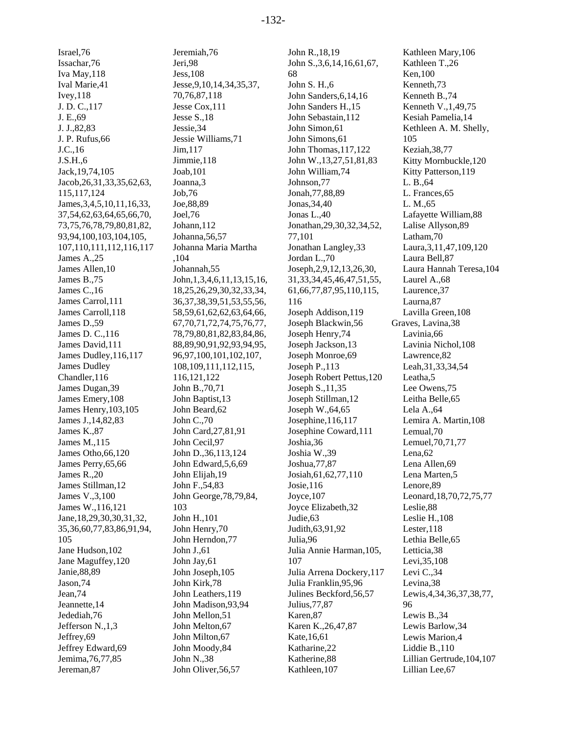Israel,76 Issachar,76 Iva May,118 Ival Marie,41 Ivey,118 J. D. C.,117 J. E.,69 J. J.,82,83 J. P. Rufus,66 J.C.,16 J.S.H.,6 Jack,19,74,105 Jacob,26,31,33,35,62,63, 115,117,124 James,3,4,5,10,11,16,33, 37,54,62,63,64,65,66,70, 73,75,76,78,79,80,81,82, 93,94,100,103,104,105, 107,110,111,112,116,117 James A.,25 James Allen,10 James B.,75 James C.,16 James Carrol,111 James Carroll,118 James D.,59 James D. C.,116 James David,111 James Dudley,116,117 James Dudley Chandler,116 James Dugan,39 James Emery,108 James Henry,103,105 James J.,14,82,83 James K.,87 James M.,115 James Otho,66,120 James Perry,65,66 James R.,20 James Stillman,12 James V.,3,100 James W.,116,121 Jane,18,29,30,30,31,32, 35,36,60,77,83,86,91,94, 105 Jane Hudson,102 Jane Maguffey,120 Janie,88,89 Jason,74 Jean,74 Jeannette,14 Jedediah,76 Jefferson N.,1,3 Jeffrey,69 Jeffrey Edward,69 Jemima,76,77,85 Jereman,87

Jeremiah,76 Jeri,98 Jess,108 Jesse,9,10,14,34,35,37, 70,76,87,118 Jesse Cox,111 Jesse S.,18 Jessie,34 Jessie Williams,71 Jim,117 Jimmie,118 Joab,101 Joanna,3 Job,76 Joe,88,89 Joel,76 Johann,112 Johanna,56,57 Johanna Maria Martha ,104 Johannah,55 John,1,3,4,6,11,13,15,16, 18,25,26,29,30,32,33,34, 36,37,38,39,51,53,55,56, 58,59,61,62,62,63,64,66, 67,70,71,72,74,75,76,77, 78,79,80,81,82,83,84,86, 88,89,90,91,92,93,94,95, 96,97,100,101,102,107, 108,109,111,112,115, 116,121,122 John B.,70,71 John Baptist,13 John Beard,62 John C.,70 John Card,27,81,91 John Cecil,97 John D.,36,113,124 John Edward,5,6,69 John Elijah,19 John F.,54,83 John George,78,79,84, 103 John H.,101 John Henry,70 John Herndon,77 John J.,61 John Jay,61 John Joseph,105 John Kirk,78 John Leathers,119 John Madison,93,94 John Mellon,51 John Melton,67 John Milton,67 John Moody,84 John N.,38 John Oliver,56,57

John R.,18,19 John S.,3,6,14,16,61,67, 68 John S. H.,6 John Sanders,6,14,16 John Sanders H.,15 John Sebastain,112 John Simon,61 John Simons,61 John Thomas,117,122 John W.,13,27,51,81,83 John William,74 Johnson,77 Jonah,77,88,89 Jonas,34,40 Jonas L.,40 Jonathan,29,30,32,34,52, 77,101 Jonathan Langley,33 Jordan L.,70 Joseph,2,9,12,13,26,30, 31,33,34,45,46,47,51,55, 61,66,77,87,95,110,115, 116 Joseph Addison,119 Joseph Blackwin,56 Joseph Henry,74 Joseph Jackson,13 Joseph Monroe,69 Joseph P.,113 Joseph Robert Pettus,120 Joseph S.,11,35 Joseph Stillman,12 Joseph W.,64,65 Josephine,116,117 Josephine Coward,111 Joshia,36 Joshia W.,39 Joshua,77,87 Josiah,61,62,77,110 Josie,116 Joyce,107 Joyce Elizabeth,32 Judie,63 Judith,63,91,92 Julia,96 Julia Annie Harman,105, 107 Julia Arrena Dockery,117 Julia Franklin,95,96 Julines Beckford,56,57 Julius,77,87 Karen,87 Karen K.,26,47,87 Kate,16,61 Katharine,22 Katherine,88 Kathleen,107

Kathleen Mary,106 Kathleen T.,26 Ken,100 Kenneth,73 Kenneth B.,74 Kenneth V.,1,49,75 Kesiah Pamelia,14 Kethleen A. M. Shelly, 105 Keziah,38,77 Kitty Mornbuckle,120 Kitty Patterson,119 L. B.,64 L. Frances,65 L. M.,65 Lafayette William,88 Lalise Allyson,89 Latham,70 Laura,3,11,47,109,120 Laura Bell,87 Laura Hannah Teresa,104 Laurel A.,68 Laurence,37 Laurna,87 Lavilla Green,108 Graves, Lavina,38 Lavinia,66 Lavinia Nichol,108 Lawrence,82 Leah,31,33,34,54 Leatha,5 Lee Owens,75 Leitha Belle,65 Lela A.,64 Lemira A. Martin,108 Lemual,70 Lemuel,70,71,77 Lena,62 Lena Allen,69 Lena Marten,5 Lenore,89 Leonard,18,70,72,75,77 Leslie,88 Leslie H.,108 Lester,118 Lethia Belle,65 Letticia,38 Levi,35,108 Levi C.,34 Levina,38 Lewis,4,34,36,37,38,77, 96 Lewis B.,34 Lewis Barlow,34 Lewis Marion,4 Liddie B.,110 Lillian Gertrude,104,107 Lillian Lee,67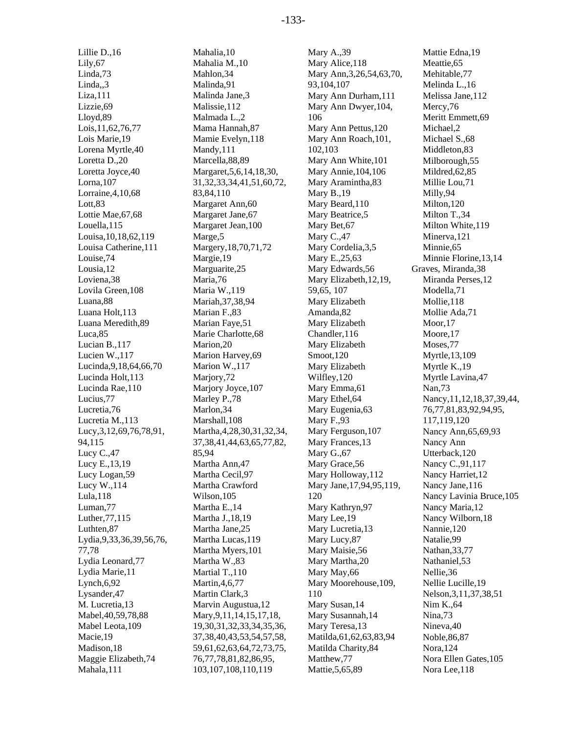Lillie D.,16 Lily,67 Linda,73 Linda,,3 Liza,111 Lizzie,69 Lloyd,89 Lois,11,62,76,77 Lois Marie,19 Lorena Myrtle,40 Loretta D.,20 Loretta Joyce,40 Lorna,107 Lorraine,4,10,68 Lott,83 Lottie Mae,67,68 Louella,115 Louisa,10,18,62,119 Louisa Catherine,111 Louise,74 Lousia,12 Loviena,38 Lovila Green,108 Luana,88 Luana Holt,113 Luana Meredith,89 Luca,85 Lucian B.,117 Lucien W.,117 Lucinda,9,18,64,66,70 Lucinda Holt,113 Lucinda Rae,110 Lucius,77 Lucretia,76 Lucretia M.,113 Lucy,3,12,69,76,78,91, 94,115 Lucy C.,47 Lucy E.,13,19 Lucy Logan,59 Lucy W.,114 Lula,118 Luman,77 Luther,77,115 Luthten,87 Lydia,9,33,36,39,56,76, 77,78 Lydia Leonard,77 Lydia Marie,11 Lynch,6,92 Lysander,47 M. Lucretia,13 Mabel,40,59,78,88 Mabel Leota,109 Macie,19 Madison,18 Maggie Elizabeth,74 Mahala,111

Mahalia,10 Mahalia M.,10 Mahlon,34 Malinda,91 Malinda Jane,3 Malissie,112 Malmada L.,2 Mama Hannah,87 Mamie Evelyn,118 Mandy,111 Marcella,88,89 Margaret,5,6,14,18,30, 31,32,33,34,41,51,60,72, 83,84,110 Margaret Ann,60 Margaret Jane,67 Margaret Jean,100 Marge,5 Margery,18,70,71,72 Margie,19 Marguarite,25 Maria,76 Maria W.,119 Mariah,37,38,94 Marian F.,83 Marian Faye,51 Marie Charlotte,68 Marion,20 Marion Harvey,69 Marion W.,117 Marjory,72 Marjory Joyce, 107 Marley P.,78 Marlon,34 Marshall,108 Martha,4,28,30,31,32,34, 37,38,41,44,63,65,77,82, 85,94 Martha Ann,47 Martha Cecil,97 Martha Crawford Wilson,105 Martha E.,14 Martha J.,18,19 Martha Jane,25 Martha Lucas,119 Martha Myers,101 Martha W.,83 Martial T.,110 Martin,4,6,77 Martin Clark,3 Marvin Augustua,12 Mary,9,11,14,15,17,18, 19,30,31,32,33,34,35,36, 37,38,40,43,53,54,57,58, 59,61,62,63,64,72,73,75, 76,77,78,81,82,86,95, 103,107,108,110,119

Mary A.,39 Mary Alice,118 Mary Ann,3,26,54,63,70, 93,104,107 Mary Ann Durham,111 Mary Ann Dwyer,104, 106 Mary Ann Pettus,120 Mary Ann Roach,101, 102,103 Mary Ann White,101 Mary Annie,104,106 Mary Aramintha,83 Mary B.,19 Mary Beard,110 Mary Beatrice,5 Mary Bet,67 Mary C.,47 Mary Cordelia,3,5 Mary E.,25,63 Mary Edwards,56 Mary Elizabeth,12,19, 59,65, 107 Mary Elizabeth Amanda,82 Mary Elizabeth Chandler,116 Mary Elizabeth Smoot,120 Mary Elizabeth Wilfley,120 Mary Emma,61 Mary Ethel,64 Mary Eugenia,63 Mary F.,93 Mary Ferguson,107 Mary Frances,13 Mary G.,67 Mary Grace,56 Mary Holloway,112 Mary Jane,17,94,95,119, 120 Mary Kathryn,97 Mary Lee,19 Mary Lucretia,13 Mary Lucy,87 Mary Maisie,56 Mary Martha,20 Mary May,66 Mary Moorehouse,109, 110 Mary Susan,14 Mary Susannah,14 Mary Teresa,13 Matilda,61,62,63,83,94 Matilda Charity,84 Matthew,77 Mattie,5,65,89

Mattie Edna,19 Meattie,65 Mehitable,77 Melinda L.,16 Melissa Jane,112 Mercy,76 Meritt Emmett,69 Michael,2 Michael S.,68 Middleton,83 Milborough,55 Mildred,62,85 Millie Lou,71 Milly,94 Milton,120 Milton T.,34 Milton White,119 Minerva,121 Minnie,65 Minnie Florine,13,14 Graves, Miranda,38 Miranda Perses,12 Modella,71 Mollie,118 Mollie Ada,71 Moor, 17 Moore,17 Moses,77 Myrtle,13,109 Myrtle K.,19 Myrtle Lavina,47 Nan,73 Nancy,11,12,18,37,39,44, 76,77,81,83,92,94,95, 117,119,120 Nancy Ann,65,69,93 Nancy Ann Utterback,120 Nancy C.,91,117 Nancy Harriet,12 Nancy Jane,116 Nancy Lavinia Bruce,105 Nancy Maria,12 Nancy Wilborn,18 Nannie,120 Natalie,99 Nathan,33,77 Nathaniel,53 Nellie,36 Nellie Lucille,19 Nelson,3,11,37,38,51 Nim K.,64 Nina,73 Nineva,40 Noble,86,87 Nora,124 Nora Ellen Gates,105 Nora Lee,118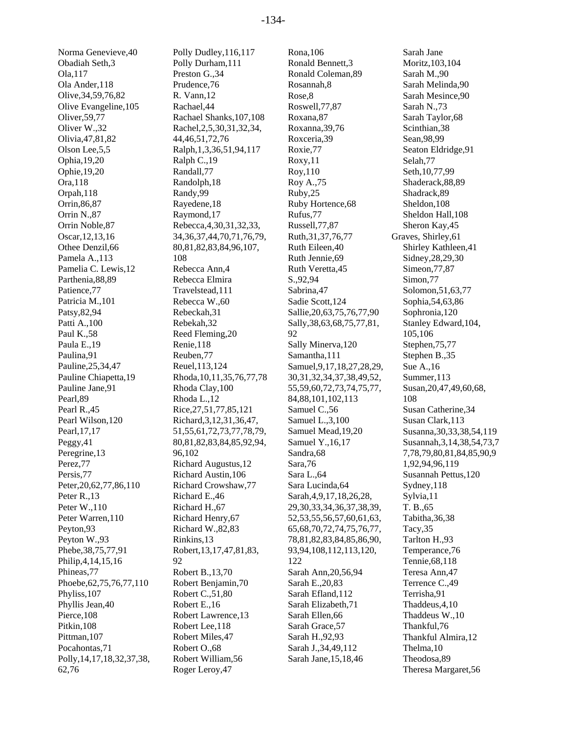Norma Genevieve,40 Obadiah Seth,3 Ola,117 Ola Ander,118 Olive,34,59,76,82 Olive Evangeline,105 Oliver,59,77 Oliver W.,32 Olivia,47,81,82 Olson Lee,5,5 Ophia,19,20 Ophie,19,20 Ora,118 Orpah,118 Orrin,86,87 Orrin N.,87 Orrin Noble,87 Oscar,12,13,16 Othee Denzil,66 Pamela A.,113 Pamelia C. Lewis,12 Parthenia,88,89 Patience,77 Patricia M.,101 Patsy,82,94 Patti A.,100 Paul K.,58 Paula E.,19 Paulina,91 Pauline,25,34,47 Pauline Chiapetta,19 Pauline Jane,91 Pearl,89 Pearl R.,45 Pearl Wilson,120 Pearl,17,17 Peggy,41 Peregrine,13 Perez,77 Persis,77 Peter,20,62,77,86,110 Peter R.,13 Peter W.,110 Peter Warren,110 Peyton,93 Peyton W.,93 Phebe,38,75,77,91 Philip,4,14,15,16 Phineas,77 Phoebe,62,75,76,77,110 Phyliss,107 Phyllis Jean,40 Pierce,108 Pitkin,108 Pittman, 107 Pocahontas,71 Polly,14,17,18,32,37,38,

62,76

Polly Dudley,116,117 Polly Durham,111 Preston G.,34 Prudence,76 R. Vann,12 Rachael,44 Rachael Shanks,107,108 Rachel,2,5,30,31,32,34, 44,46,51,72,76 Ralph,1,3,36,51,94,117 Ralph C.,19 Randall,77 Randolph,18 Randy,99 Rayedene,18 Raymond,17 Rebecca,4,30,31,32,33, 34,36,37,44,70,71,76,79, 80,81,82,83,84,96,107, 108 Rebecca Ann,4 Rebecca Elmira Travelstead,111 Rebecca W.,60 Rebeckah,31 Rebekah,32 Reed Fleming,20 Renie,118 Reuben,77 Reuel,113,124 Rhoda,10,11,35,76,77,78 Rhoda Clay,100 Rhoda L.,12 Rice,27,51,77,85,121 Richard,3,12,31,36,47, 51,55,61,72,73,77,78,79, 80,81,82,83,84,85,92,94, 96,102 Richard Augustus,12 Richard Austin,106 Richard Crowshaw,77 Richard E.,46 Richard H.,67 Richard Henry,67 Richard W.,82,83 Rinkins,13 Robert,13,17,47,81,83, 92 Robert B.,13,70 Robert Benjamin,70 Robert C.,51,80 Robert E.,16 Robert Lawrence,13 Robert Lee,118 Robert Miles,47 Robert O.,68 Robert William,56 Roger Leroy,47

Rona,106 Ronald Bennett,3 Ronald Coleman,89 Rosannah,8 Rose,8 Roswell,77,87 Roxana,87 Roxanna,39,76 Roxceria,39 Roxie,77 Roxy,11 Roy,110 Roy A.,75 Ruby,25 Ruby Hortence,68 Rufus,77 Russell,77,87 Ruth,31,37,76,77 Ruth Eileen,40 Ruth Jennie,69 Ruth Veretta,45 S.,92,94 Sabrina,47 Sadie Scott,124 Sallie,20,63,75,76,77,90 Sally,38,63,68,75,77,81, 92 Sally Minerva,120 Samantha,111 Samuel,9,17,18,27,28,29, 30,31,32,34,37,38,49,52, 55,59,60,72,73,74,75,77, 84,88,101,102,113 Samuel C.,56 Samuel L.,3,100 Samuel Mead,19,20 Samuel Y.,16,17 Sandra,68 Sara,76 Sara L.,64 Sara Lucinda,64 Sarah,4,9,17,18,26,28, 29,30,33,34,36,37,38,39, 52,53,55,56,57,60,61,63, 65,68,70,72,74,75,76,77, 78,81,82,83,84,85,86,90, 93,94,108,112,113,120, 122 Sarah Ann,20,56,94 Sarah E.,20,83 Sarah Efland,112 Sarah Elizabeth,71 Sarah Ellen,66 Sarah Grace,57 Sarah H.,92,93 Sarah J.,34,49,112 Sarah Jane,15,18,46

Sarah Jane Moritz,103,104 Sarah M.,90 Sarah Melinda,90 Sarah Mesince,90 Sarah N.,73 Sarah Taylor,68 Scinthian,38 Sean,98,99 Seaton Eldridge,91 Selah,77 Seth,10,77,99 Shaderack,88,89 Shadrack,89 Sheldon,108 Sheldon Hall,108 Sheron Kay,45 Graves, Shirley,61 Shirley Kathleen,41 Sidney,28,29,30 Simeon,77,87 Simon,77 Solomon,51,63,77 Sophia,54,63,86 Sophronia,120 Stanley Edward,104, 105,106 Stephen,75,77 Stephen B.,35 Sue A.,16 Summer,113 Susan,20,47,49,60,68, 108 Susan Catherine,34 Susan Clark,113 Susanna,30,33,38,54,119 Susannah,3,14,38,54,73,7 7,78,79,80,81,84,85,90,9 1,92,94,96,119 Susannah Pettus,120 Sydney,118 Sylvia,11 T. B.,65 Tabitha,36,38 Tacy,35 Tarlton H.,93 Temperance,76 Tennie,68,118 Teresa Ann,47 Terrence C.,49 Terrisha,91 Thaddeus,4,10 Thaddeus W.,10 Thankful,76 Thankful Almira,12 Thelma,10 Theodosa,89 Theresa Margaret,56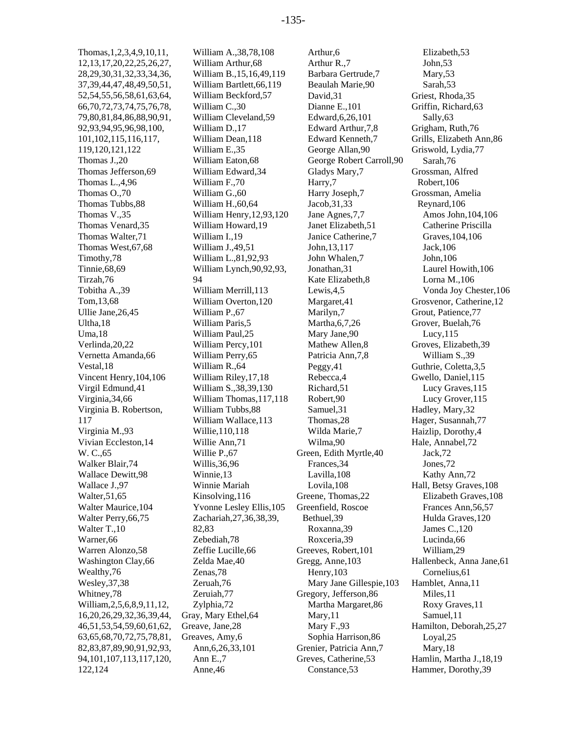Thomas,1,2,3,4,9,10,11, 12,13,17,20,22,25,26,27, 28,29,30,31,32,33,34,36, 37,39,44,47,48,49,50,51, 52,54,55,56,58,61,63,64, 66,70,72,73,74,75,76,78, 79,80,81,84,86,88,90,91, 92,93,94,95,96,98,100, 101,102,115,116,117, 119,120,121,122 Thomas J.,20 Thomas Jefferson,69 Thomas L.,4,96 Thomas O.,70 Thomas Tubbs,88 Thomas V.,35 Thomas Venard,35 Thomas Walter,71 Thomas West,67,68 Timothy,78 Tinnie,68,69 Tirzah,76 Tobitha A.,39 Tom,13,68 Ullie Jane,26,45 Ultha,18 Uma,18 Verlinda,20,22 Vernetta Amanda,66 Vestal,18 Vincent Henry,104,106 Virgil Edmund,41 Virginia,34,66 Virginia B. Robertson, 117 Virginia M.,93 Vivian Eccleston,14 W. C.,65 Walker Blair,74 Wallace Dewitt,98 Wallace J.,97 Walter,51,65 Walter Maurice,104 Walter Perry,66,75 Walter T.,10 Warner,66 Warren Alonzo,58 Washington Clay,66 Wealthy,76 Wesley,37,38 Whitney,78 William,2,5,6,8,9,11,12, 16,20,26,29,32,36,39,44, 46,51,53,54,59,60,61,62, 63,65,68,70,72,75,78,81, 82,83,87,89,90,91,92,93, 94,101,107,113,117,120, 122,124

William A.,38,78,108 William Arthur,68 William B.,15,16,49,119 William Bartlett,66,119 William Beckford,57 William C.,30 William Cleveland,59 William D.,17 William Dean,118 William E.,35 William Eaton,68 William Edward,34 William F.,70 William G.,60 William H.,60,64 William Henry,12,93,120 William Howard,19 William I.,19 William J.,49,51 William L.,81,92,93 William Lynch,90,92,93, 94 William Merrill,113 William Overton,120 William P.,67 William Paris,5 William Paul,25 William Percy,101 William Perry,65 William R.,64 William Riley,17,18 William S.,38,39,130 William Thomas,117,118 William Tubbs,88 William Wallace,113 Willie,110,118 Willie Ann,71 Willie P.,67 Willis,36,96 Winnie,13 Winnie Mariah Kinsolving,116 Yvonne Lesley Ellis,105 Zachariah,27,36,38,39, 82,83 Zebediah,78 Zeffie Lucille,66 Zelda Mae,40 Zenas,78 Zeruah,76 Zeruiah,77 Zylphia,72 Gray, Mary Ethel,64 Greave, Jane,28 Greaves, Amy,6 Ann,6,26,33,101 Ann E.,7 Anne,46

Arthur,6 Arthur R.,7 Barbara Gertrude,7 Beaulah Marie,90 David,31 Dianne E.,101 Edward,6,26,101 Edward Arthur,7,8 Edward Kenneth,7 George Allan,90 George Robert Carroll,90 Gladys Mary,7 Harry,7 Harry Joseph,7 Jacob,31,33 Jane Agnes,7,7 Janet Elizabeth,51 Janice Catherine,7 John,13,117 John Whalen,7 Jonathan,31 Kate Elizabeth,8 Lewis,4,5 Margaret,41 Marilyn,7 Martha,6,7,26 Mary Jane,90 Mathew Allen,8 Patricia Ann,7,8 Peggy,41 Rebecca,4 Richard,51 Robert,90 Samuel,31 Thomas,28 Wilda Marie,7 Wilma,90 Green, Edith Myrtle,40 Frances,34 Lavilla,108 Lovila,108 Greene, Thomas,22 Greenfield, Roscoe Bethuel,39 Roxanna,39 Roxceria,39 Greeves, Robert,101 Gregg, Anne,103 Henry,103 Mary Jane Gillespie,103 Gregory, Jefferson,86 Martha Margaret,86 Mary,11 Mary F.,93 Sophia Harrison,86 Grenier, Patricia Ann,7 Greves, Catherine,53 Constance,53

Elizabeth,53 John,53 Mary,53 Sarah,53 Griest, Rhoda,35 Griffin, Richard,63 Sally,63 Grigham, Ruth,76 Grills, Elizabeth Ann,86 Griswold, Lydia,77 Sarah,76 Grossman, Alfred Robert,106 Grossman, Amelia Reynard,106 Amos John,104,106 Catherine Priscilla Graves,104,106 Jack,106 John,106 Laurel Howith,106 Lorna M.,106 Vonda Joy Chester,106 Grosvenor, Catherine,12 Grout, Patience,77 Grover, Buelah,76 Lucy,115 Groves, Elizabeth,39 William S.,39 Guthrie, Coletta,3,5 Gwello, Daniel,115 Lucy Graves,115 Lucy Grover,115 Hadley, Mary,32 Hager, Susannah,77 Haizlip, Dorothy,4 Hale, Annabel,72 Jack,72 Jones,72 Kathy Ann,72 Hall, Betsy Graves,108 Elizabeth Graves,108 Frances Ann,56,57 Hulda Graves,120 James C.,120 Lucinda,66 William,29 Hallenbeck, Anna Jane,61 Cornelius,61 Hamblet, Anna,11 Miles,11 Roxy Graves,11 Samuel,11 Hamilton, Deborah,25,27 Loyal,25 Mary,18 Hamlin, Martha J.,18,19 Hammer, Dorothy,39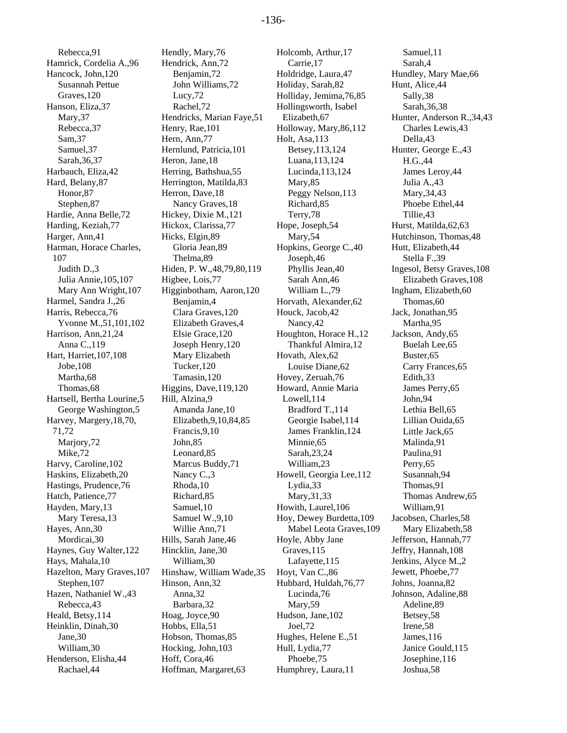Rebecca,91 Hamrick, Cordelia A.,96 Hancock, John,120 Susannah Pettue Graves,120 Hanson, Eliza,37 Mary,37 Rebecca,37 Sam,37 Samuel,37 Sarah,36,37 Harbauch, Eliza,42 Hard, Belany,87 Honor,87 Stephen,87 Hardie, Anna Belle,72 Harding, Keziah,77 Harger, Ann,41 Harman, Horace Charles, 107 Judith D.,3 Julia Annie,105,107 Mary Ann Wright,107 Harmel, Sandra J.,26 Harris, Rebecca,76 Yvonne M.,51,101,102 Harrison, Ann,21,24 Anna C.,119 Hart, Harriet,107,108 Jobe,108 Martha,68 Thomas,68 Hartsell, Bertha Lourine,5 George Washington,5 Harvey, Margery,18,70, 71,72 Marjory,72 Mike,72 Harvy, Caroline,102 Haskins, Elizabeth,20 Hastings, Prudence,76 Hatch, Patience,77 Hayden, Mary,13 Mary Teresa,13 Hayes, Ann,30 Mordicai,30 Haynes, Guy Walter,122 Hays, Mahala,10 Hazelton, Mary Graves,107 Stephen,107 Hazen, Nathaniel W.,43 Rebecca,43 Heald, Betsy,114 Heinklin, Dinah,30 Jane,30 William,30 Henderson, Elisha,44 Rachael,44

Hendly, Mary,76 Hendrick, Ann,72 Benjamin,72 John Williams,72 Lucy,72 Rachel,72 Hendricks, Marian Faye,51 Henry, Rae,101 Hern, Ann,77 Hernlund, Patricia,101 Heron, Jane,18 Herring, Bathshua,55 Herrington, Matilda,83 Herron, Dave,18 Nancy Graves,18 Hickey, Dixie M.,121 Hickox, Clarissa,77 Hicks, Elgin,89 Gloria Jean,89 Thelma,89 Hiden, P. W.,48,79,80,119 Higbee, Lois,77 Higginbotham, Aaron,120 Benjamin,4 Clara Graves,120 Elizabeth Graves,4 Elsie Grace,120 Joseph Henry,120 Mary Elizabeth Tucker,120 Tamasin,120 Higgins, Dave,119,120 Hill, Alzina,9 Amanda Jane,10 Elizabeth,9,10,84,85 Francis,9,10 John,85 Leonard,85 Marcus Buddy,71 Nancy C.,3 Rhoda,10 Richard,85 Samuel,10 Samuel W.,9,10 Willie Ann,71 Hills, Sarah Jane,46 Hincklin, Jane,30 William,30 Hinshaw, William Wade,35 Hinson, Ann,32 Anna,32 Barbara,32 Hoag, Joyce,90 Hobbs, Ella,51 Hobson, Thomas,85 Hocking, John,103 Hoff, Cora,46 Hoffman, Margaret,63

Holcomb, Arthur,17 Carrie,17 Holdridge, Laura,47 Holiday, Sarah,82 Holliday, Jemima,76,85 Hollingsworth, Isabel Elizabeth,67 Holloway, Mary,86,112 Holt, Asa,113 Betsey,113,124 Luana,113,124 Lucinda,113,124 Mary,85 Peggy Nelson,113 Richard,85 Terry,78 Hope, Joseph,54 Mary,54 Hopkins, George C.,40 Joseph,46 Phyllis Jean,40 Sarah Ann,46 William L.,79 Horvath, Alexander,62 Houck, Jacob,42 Nancy,42 Houghton, Horace H.,12 Thankful Almira,12 Hovath, Alex,62 Louise Diane,62 Hovey, Zeruah,76 Howard, Annie Maria Lowell,114 Bradford T.,114 Georgie Isabel,114 James Franklin,124 Minnie,65 Sarah,23,24 William,23 Howell, Georgia Lee,112 Lydia,33 Mary,31,33 Howith, Laurel,106 Hoy, Dewey Burdetta,109 Mabel Leota Graves,109 Hoyle, Abby Jane Graves,115 Lafayette,115 Hoyt, Van C.,86 Hubbard, Huldah,76,77 Lucinda,76 Mary,59 Hudson, Jane,102 Joel,72 Hughes, Helene E.,51 Hull, Lydia,77 Phoebe,75 Humphrey, Laura,11

Samuel,11 Sarah,4 Hundley, Mary Mae,66 Hunt, Alice,44 Sally,38 Sarah,36,38 Hunter, Anderson R.,34,43 Charles Lewis,43 Della,43 Hunter, George E.,43 H.G.,44 James Leroy,44 Julia A.,43 Mary,34,43 Phoebe Ethel,44 Tillie,43 Hurst, Matilda,62,63 Hutchinson, Thomas,48 Hutt, Elizabeth,44 Stella F.,39 Ingesol, Betsy Graves,108 Elizabeth Graves,108 Ingham, Elizabeth,60 Thomas,60 Jack, Jonathan,95 Martha,95 Jackson, Andy,65 Buelah Lee,65 Buster,65 Carry Frances,65 Edith,33 James Perry,65 John,94 Lethia Bell,65 Lillian Ouida,65 Little Jack,65 Malinda,91 Paulina,91 Perry,65 Susannah,94 Thomas,91 Thomas Andrew,65 William,91 Jacobsen, Charles,58 Mary Elizabeth,58 Jefferson, Hannah,77 Jeffry, Hannah,108 Jenkins, Alyce M.,2 Jewett, Phoebe,77 Johns, Joanna,82 Johnson, Adaline,88 Adeline,89 Betsey,58 Irene,58 James,116 Janice Gould,115 Josephine,116 Joshua,58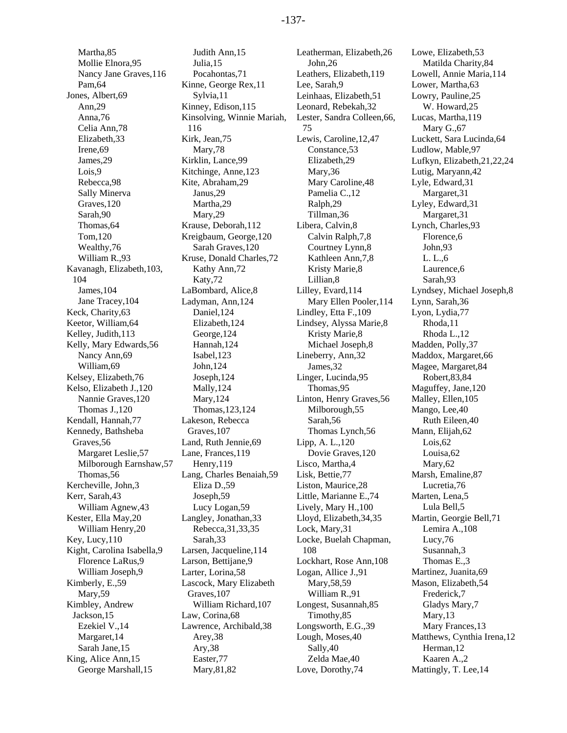Martha,85 Mollie Elnora,95 Nancy Jane Graves,116 Pam,64 Jones, Albert,69 Ann,29 Anna,76 Celia Ann,78 Elizabeth,33 Irene,69 James,29 Lois,9 Rebecca,98 Sally Minerva Graves,120 Sarah,90 Thomas,64 Tom,120 Wealthy,76 William R.,93 Kavanagh, Elizabeth,103, 104 James,104 Jane Tracey,104 Keck, Charity,63 Keetor, William,64 Kelley, Judith,113 Kelly, Mary Edwards,56 Nancy Ann,69 William,69 Kelsey, Elizabeth,76 Kelso, Elizabeth J.,120 Nannie Graves,120 Thomas J.,120 Kendall, Hannah,77 Kennedy, Bathsheba Graves,56 Margaret Leslie,57 Milborough Earnshaw,57 Thomas,56 Kercheville, John,3 Kerr, Sarah,43 William Agnew,43 Kester, Ella May,20 William Henry,20 Key, Lucy,110 Kight, Carolina Isabella,9 Florence LaRus,9 William Joseph,9 Kimberly, E.,59 Mary,59 Kimbley, Andrew Jackson,15 Ezekiel V.,14 Margaret,14 Sarah Jane,15 King, Alice Ann,15 George Marshall,15

Judith Ann,15 Julia,15 Pocahontas,71 Kinne, George Rex,11 Sylvia,11 Kinney, Edison,115 Kinsolving, Winnie Mariah, 116 Kirk, Jean,75 Mary,78 Kirklin, Lance,99 Kitchinge, Anne,123 Kite, Abraham,29 Janus,29 Martha,29 Mary,29 Krause, Deborah,112 Kreigbaum, George,120 Sarah Graves,120 Kruse, Donald Charles,72 Kathy Ann,72 Katy,72 LaBombard, Alice,8 Ladyman, Ann,124 Daniel,124 Elizabeth,124 George,124 Hannah,124 Isabel,123 John,124 Joseph,124 Mally,124 Mary,124 Thomas,123,124 Lakeson, Rebecca Graves,107 Land, Ruth Jennie,69 Lane, Frances,119 Henry,119 Lang, Charles Benaiah,59 Eliza D.,59 Joseph,59 Lucy Logan,59 Langley, Jonathan,33 Rebecca,31,33,35 Sarah,33 Larsen, Jacqueline,114 Larson, Bettijane,9 Larter, Lorina,58 Lascock, Mary Elizabeth Graves,107 William Richard,107 Law, Corina,68 Lawrence, Archibald,38 Arey,38 Ary,38 Easter,77 Mary,81,82

Leatherman, Elizabeth,26 John,26 Leathers, Elizabeth,119 Lee, Sarah,9 Leinhaas, Elizabeth,51 Leonard, Rebekah,32 Lester, Sandra Colleen,66, 75 Lewis, Caroline,12,47 Constance,53 Elizabeth,29 Mary,36 Mary Caroline,48 Pamelia C.,12 Ralph,29 Tillman,36 Libera, Calvin,8 Calvin Ralph,7,8 Courtney Lynn,8 Kathleen Ann,7,8 Kristy Marie,8 Lillian,8 Lilley, Evard,114 Mary Ellen Pooler,114 Lindley, Etta F.,109 Lindsey, Alyssa Marie,8 Kristy Marie,8 Michael Joseph,8 Lineberry, Ann,32 James,32 Linger, Lucinda,95 Thomas,95 Linton, Henry Graves,56 Milborough,55 Sarah,56 Thomas Lynch,56 Lipp, A. L.,120 Dovie Graves,120 Lisco, Martha,4 Lisk, Bettie,77 Liston, Maurice,28 Little, Marianne E.,74 Lively, Mary H.,100 Lloyd, Elizabeth,34,35 Lock, Mary,31 Locke, Buelah Chapman, 108 Lockhart, Rose Ann,108 Logan, Allice J.,91 Mary,58,59 William R.,91 Longest, Susannah,85 Timothy,85 Longsworth, E.G.,39 Lough, Moses,40 Sally,40 Zelda Mae,40 Love, Dorothy,74

Lowe, Elizabeth,53 Matilda Charity,84 Lowell, Annie Maria,114 Lower, Martha,63 Lowry, Pauline,25 W. Howard,25 Lucas, Martha,119 Mary G.,67 Luckett, Sara Lucinda,64 Ludlow, Mable,97 Lufkyn, Elizabeth,21,22,24 Lutig, Maryann,42 Lyle, Edward,31 Margaret,31 Lyley, Edward,31 Margaret,31 Lynch, Charles,93 Florence,6 John,93 L. L.,6 Laurence,6 Sarah,93 Lyndsey, Michael Joseph,8 Lynn, Sarah,36 Lyon, Lydia,77 Rhoda,11 Rhoda L.,12 Madden, Polly,37 Maddox, Margaret,66 Magee, Margaret,84 Robert,83,84 Maguffey, Jane,120 Malley, Ellen,105 Mango, Lee,40 Ruth Eileen,40 Mann, Elijah,62 Lois,62 Louisa,62 Mary,62 Marsh, Emaline,87 Lucretia,76 Marten, Lena,5 Lula Bell,5 Martin, Georgie Bell,71 Lemira A.,108 Lucy,76 Susannah,3 Thomas E.,3 Martinez, Juanita,69 Mason, Elizabeth,54 Frederick,7 Gladys Mary,7 Mary,13 Mary Frances,13 Matthews, Cynthia Irena,12 Herman,12 Kaaren A.,2 Mattingly, T. Lee,14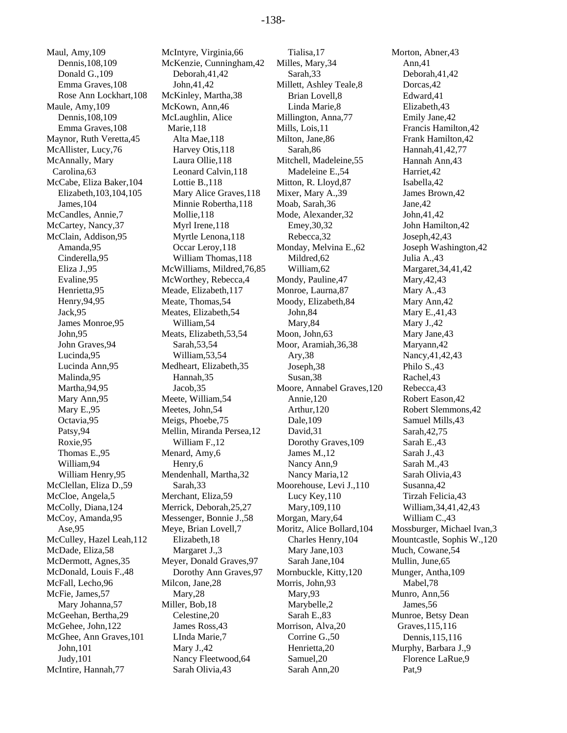Maul, Amy,109 Dennis,108,109 Donald G.,109 Emma Graves,108 Rose Ann Lockhart,108 Maule, Amy,109 Dennis,108,109 Emma Graves,108 Maynor, Ruth Veretta,45 McAllister, Lucy,76 McAnnally, Mary Carolina,63 McCabe, Eliza Baker,104 Elizabeth,103,104,105 James,104 McCandles, Annie,7 McCartey, Nancy,37 McClain, Addison,95 Amanda,95 Cinderella,95 Eliza J.,95 Evaline,95 Henrietta,95 Henry,94,95 Jack,95 James Monroe,95 John,95 John Graves,94 Lucinda,95 Lucinda Ann,95 Malinda,95 Martha,94,95 Mary Ann,95 Mary E.,95 Octavia,95 Patsy,94 Roxie,95 Thomas E.,95 William,94 William Henry,95 McClellan, Eliza D.,59 McCloe, Angela,5 McColly, Diana,124 McCoy, Amanda,95 Ase,95 McCulley, Hazel Leah,112 McDade, Eliza,58 McDermott, Agnes,35 McDonald, Louis F.,48 McFall, Lecho,96 McFie, James,57 Mary Johanna,57 McGeehan, Bertha,29 McGehee, John,122 McGhee, Ann Graves,101 John,101 Judy,101 McIntire, Hannah,77

McIntyre, Virginia,66 McKenzie, Cunningham,42 Deborah,41,42 John,41,42 McKinley, Martha,38 McKown, Ann,46 McLaughlin, Alice Marie,118 Alta Mae,118 Harvey Otis,118 Laura Ollie,118 Leonard Calvin,118 Lottie B.,118 Mary Alice Graves,118 Minnie Robertha,118 Mollie,118 Myrl Irene,118 Myrtle Lenona,118 Occar Leroy,118 William Thomas,118 McWilliams, Mildred,76,85 McWorthey, Rebecca,4 Meade, Elizabeth,117 Meate, Thomas,54 Meates, Elizabeth,54 William,54 Meats, Elizabeth,53,54 Sarah,53,54 William,53,54 Medheart, Elizabeth,35 Hannah,35 Jacob,35 Meete, William,54 Meetes, John,54 Meigs, Phoebe,75 Mellin, Miranda Persea,12 William F.,12 Menard, Amy,6 Henry,6 Mendenhall, Martha,32 Sarah,33 Merchant, Eliza,59 Merrick, Deborah,25,27 Messenger, Bonnie J.,58 Meye, Brian Lovell,7 Elizabeth,18 Margaret J.,3 Meyer, Donald Graves,97 Dorothy Ann Graves,97 Milcon, Jane,28 Mary,28 Miller, Bob,18 Celestine,20 James Ross,43 LInda Marie,7 Mary J.,42 Nancy Fleetwood,64 Sarah Olivia,43

Tialisa,17 Milles, Mary,34 Sarah,33 Millett, Ashley Teale,8 Brian Lovell,8 Linda Marie,8 Millington, Anna,77 Mills, Lois,11 Milton, Jane,86 Sarah,86 Mitchell, Madeleine,55 Madeleine E.,54 Mitton, R. Lloyd,87 Mixer, Mary A.,39 Moab, Sarah,36 Mode, Alexander,32 Emey,30,32 Rebecca,32 Monday, Melvina E.,62 Mildred,62 William,62 Mondy, Pauline,47 Monroe, Laurna,87 Moody, Elizabeth,84 John,84 Mary,84 Moon, John,63 Moor, Aramiah,36,38 Ary,38 Joseph,38 Susan,38 Moore, Annabel Graves,120 Annie,120 Arthur,120 Dale,109 David,31 Dorothy Graves,109 James M.,12 Nancy Ann,9 Nancy Maria,12 Moorehouse, Levi J.,110 Lucy Key,110 Mary,109,110 Morgan, Mary,64 Moritz, Alice Bollard,104 Charles Henry,104 Mary Jane,103 Sarah Jane,104 Mornbuckle, Kitty,120 Morris, John,93 Mary,93 Marybelle,2 Sarah E.,83 Morrison, Alva,20 Corrine G.,50 Henrietta,20 Samuel,20 Sarah Ann,20

Morton, Abner, 43 Ann,41 Deborah,41,42 Dorcas,42 Edward,41 Elizabeth,43 Emily Jane,42 Francis Hamilton,42 Frank Hamilton,42 Hannah,41,42,77 Hannah Ann,43 Harriet,42 Isabella,42 James Brown,42 Jane,42 John,41,42 John Hamilton,42 Joseph,42,43 Joseph Washington,42 Julia A.,43 Margaret,34,41,42 Mary,42,43 Mary A.,43 Mary Ann,42 Mary E.,41,43 Mary J.,42 Mary Jane,43 Maryann,42 Nancy,41,42,43 Philo S.,43 Rachel,43 Rebecca,43 Robert Eason,42 Robert Slemmons,42 Samuel Mills,43 Sarah,42,75 Sarah E.,43 Sarah J.,43 Sarah M.,43 Sarah Olivia,43 Susanna,42 Tirzah Felicia,43 William,34,41,42,43 William C.,43 Mossburger, Michael Ivan,3 Mountcastle, Sophis W.,120 Much, Cowane,54 Mullin, June,65 Munger, Antha,109 Mabel,78 Munro, Ann,56 James,56 Munroe, Betsy Dean Graves,115,116 Dennis,115,116 Murphy, Barbara J.,9 Florence LaRue,9 Pat,9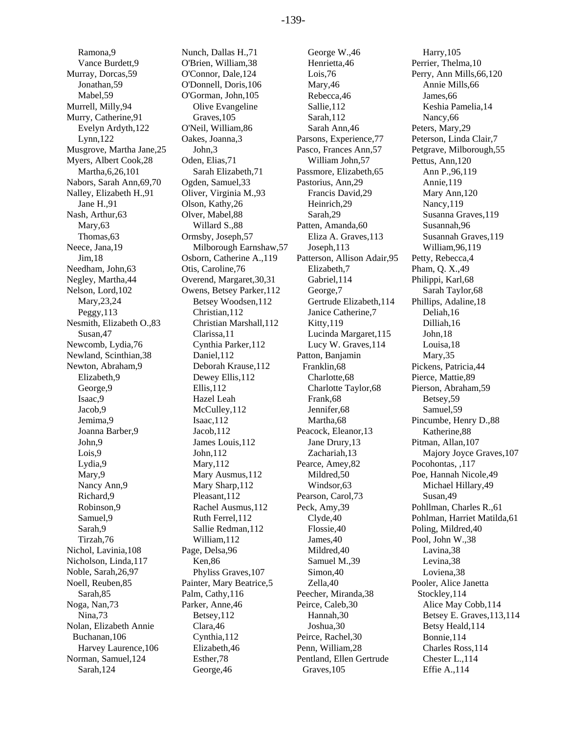Ramona,9 Vance Burdett,9 Murray, Dorcas,59 Jonathan,59 Mabel,59 Murrell, Milly,94 Murry, Catherine,91 Evelyn Ardyth,122 Lynn,122 Musgrove, Martha Jane,25 Myers, Albert Cook,28 Martha,6,26,101 Nabors, Sarah Ann,69,70 Nalley, Elizabeth H.,91 Jane H.,91 Nash, Arthur,63 Mary,63 Thomas,63 Neece, Jana,19 Jim,18 Needham, John,63 Negley, Martha,44 Nelson, Lord,102 Mary,23,24 Peggy,113 Nesmith, Elizabeth O.,83 Susan,47 Newcomb, Lydia,76 Newland, Scinthian,38 Newton, Abraham,9 Elizabeth,9 George,9 Isaac,9 Jacob,9 Jemima,9 Joanna Barber,9 John,9 Lois,9 Lydia,9 Mary, 9 Nancy Ann,9 Richard,9 Robinson,9 Samuel,9 Sarah,9 Tirzah,76 Nichol, Lavinia,108 Nicholson, Linda,117 Noble, Sarah,26,97 Noell, Reuben,85 Sarah,85 Noga, Nan,73 Nina,73 Nolan, Elizabeth Annie Buchanan,106 Harvey Laurence,106 Norman, Samuel,124 Sarah,124

Nunch, Dallas H.,71 O'Brien, William,38 O'Connor, Dale,124 O'Donnell, Doris,106 O'Gorman, John,105 Olive Evangeline Graves,105 O'Neil, William,86 Oakes, Joanna,3 John,3 Oden, Elias,71 Sarah Elizabeth,71 Ogden, Samuel,33 Oliver, Virginia M.,93 Olson, Kathy,26 Olver, Mabel,88 Willard S.,88 Ormsby, Joseph,57 Milborough Earnshaw,57 Osborn, Catherine A.,119 Otis, Caroline,76 Overend, Margaret,30,31 Owens, Betsey Parker,112 Betsey Woodsen,112 Christian,112 Christian Marshall,112 Clarissa,11 Cynthia Parker,112 Daniel,112 Deborah Krause,112 Dewey Ellis,112 Ellis,112 Hazel Leah McCulley, 112 Isaac,112 Jacob,112 James Louis,112 John,112 Mary,112 Mary Ausmus,112 Mary Sharp,112 Pleasant,112 Rachel Ausmus,112 Ruth Ferrel,112 Sallie Redman,112 William,112 Page, Delsa,96 Ken,86 Phyliss Graves,107 Painter, Mary Beatrice,5 Palm, Cathy,116 Parker, Anne,46 Betsey,112 Clara,46 Cynthia,112 Elizabeth,46 Esther,78 George,46

George W.,46 Henrietta,46 Lois,76 Mary,46 Rebecca,46 Sallie,112 Sarah,112 Sarah Ann,46 Parsons, Experience,77 Pasco, Frances Ann,57 William John,57 Passmore, Elizabeth,65 Pastorius, Ann,29 Francis David,29 Heinrich,29 Sarah,29 Patten, Amanda,60 Eliza A. Graves,113 Joseph,113 Patterson, Allison Adair,95 Elizabeth,7 Gabriel,114 George,7 Gertrude Elizabeth,114 Janice Catherine,7 Kitty,119 Lucinda Margaret,115 Lucy W. Graves,114 Patton, Banjamin Franklin,68 Charlotte,68 Charlotte Taylor,68 Frank,68 Jennifer,68 Martha,68 Peacock, Eleanor,13 Jane Drury,13 Zachariah,13 Pearce, Amey,82 Mildred,50 Windsor,63 Pearson, Carol,73 Peck, Amy,39 Clyde,40 Flossie,40 James,40 Mildred,40 Samuel M.,39 Simon,40 Zella,40 Peecher, Miranda,38 Peirce, Caleb,30 Hannah,30 Joshua,30 Peirce, Rachel,30 Penn, William,28 Pentland, Ellen Gertrude Graves,105

Harry,105 Perrier, Thelma,10 Perry, Ann Mills,66,120 Annie Mills,66 James,66 Keshia Pamelia,14 Nancy,66 Peters, Mary,29 Peterson, Linda Clair,7 Petgrave, Milborough,55 Pettus, Ann,120 Ann P.,96,119 Annie,119 Mary Ann,120 Nancy,119 Susanna Graves,119 Susannah,96 Susannah Graves,119 William,96,119 Petty, Rebecca,4 Pham, Q. X.,49 Philippi, Karl,68 Sarah Taylor,68 Phillips, Adaline,18 Deliah,16 Dilliah,16 John,18 Louisa,18 Mary,35 Pickens, Patricia,44 Pierce, Mattie,89 Pierson, Abraham,59 Betsey,59 Samuel,59 Pincumbe, Henry D.,88 Katherine,88 Pitman, Allan,107 Majory Joyce Graves,107 Pocohontas, ,117 Poe, Hannah Nicole,49 Michael Hillary,49 Susan,49 Pohllman, Charles R.,61 Pohlman, Harriet Matilda,61 Poling, Mildred,40 Pool, John W.,38 Lavina,38 Levina,38 Loviena,38 Pooler, Alice Janetta Stockley,114 Alice May Cobb,114 Betsey E. Graves,113,114 Betsy Heald,114 Bonnie,114 Charles Ross,114 Chester L.,114 Effie A.,114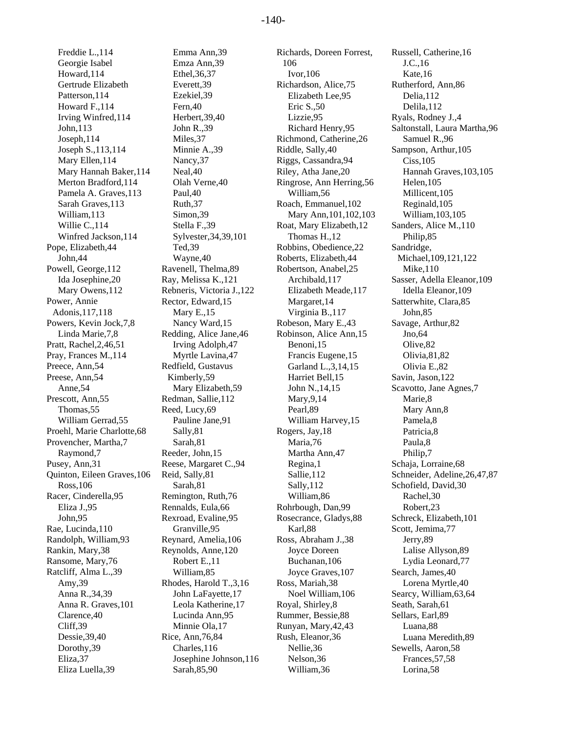Freddie L.,114 Georgie Isabel Howard,114 Gertrude Elizabeth Patterson,114 Howard F.,114 Irving Winfred,114 John,113 Joseph,114 Joseph S.,113,114 Mary Ellen,114 Mary Hannah Baker,114 Merton Bradford,114 Pamela A. Graves,113 Sarah Graves,113 William,113 Willie C.,114 Winfred Jackson,114 Pope, Elizabeth,44 John,44 Powell, George,112 Ida Josephine,20 Mary Owens,112 Power, Annie Adonis,117,118 Powers, Kevin Jock,7,8 Linda Marie,7,8 Pratt, Rachel,2,46,51 Pray, Frances M.,114 Preece, Ann,54 Preese, Ann,54 Anne,54 Prescott, Ann,55 Thomas,55 William Gerrad,55 Proehl, Marie Charlotte,68 Provencher, Martha,7 Raymond,7 Pusey, Ann,31 Quinton, Eileen Graves,106 Ross,106 Racer, Cinderella,95 Eliza J.,95 John,95 Rae, Lucinda,110 Randolph, William,93 Rankin, Mary,38 Ransome, Mary,76 Ratcliff, Alma L.,39 Amy,39 Anna R.,34,39 Anna R. Graves,101 Clarence,40 Cliff,39 Dessie,39,40 Dorothy,39 Eliza,37 Eliza Luella,39

Emma Ann,39 Emza Ann,39 Ethel,36,37 Everett,39 Ezekiel,39 Fern,40 Herbert,39,40 John R.,39 Miles,37 Minnie A.,39 Nancy,37 Neal,40 Olah Verne,40 Paul,40 Ruth,37 Simon,39 Stella F.,39 Sylvester,34,39,101 Ted,39 Wayne,40 Ravenell, Thelma,89 Ray, Melissa K.,121 Rebneris, Victoria J.,122 Rector, Edward,15 Mary E.,15 Nancy Ward,15 Redding, Alice Jane,46 Irving Adolph,47 Myrtle Lavina,47 Redfield, Gustavus Kimberly,59 Mary Elizabeth,59 Redman, Sallie,112 Reed, Lucy,69 Pauline Jane,91 Sally,81 Sarah,81 Reeder, John,15 Reese, Margaret C.,94 Reid, Sally,81 Sarah,81 Remington, Ruth,76 Rennalds, Eula,66 Rexroad, Evaline,95 Granville,95 Reynard, Amelia,106 Reynolds, Anne,120 Robert E.,11 William,85 Rhodes, Harold T.,3,16 John LaFayette,17 Leola Katherine,17 Lucinda Ann,95 Minnie Ola,17 Rice, Ann,76,84 Charles,116 Josephine Johnson,116 Sarah,85,90

Richards, Doreen Forrest, 106 Ivor,106 Richardson, Alice,75 Elizabeth Lee,95 Eric S.,50 Lizzie,95 Richard Henry,95 Richmond, Catherine,26 Riddle, Sally,40 Riggs, Cassandra,94 Riley, Atha Jane,20 Ringrose, Ann Herring,56 William,56 Roach, Emmanuel,102 Mary Ann,101,102,103 Roat, Mary Elizabeth,12 Thomas H.,12 Robbins, Obedience,22 Roberts, Elizabeth,44 Robertson, Anabel,25 Archibald,117 Elizabeth Meade,117 Margaret,14 Virginia B.,117 Robeson, Mary E.,43 Robinson, Alice Ann,15 Benoni,15 Francis Eugene,15 Garland L.,3,14,15 Harriet Bell,15 John N.,14,15 Mary,9,14 Pearl,89 William Harvey,15 Rogers, Jay,18 Maria,76 Martha Ann,47 Regina,1 Sallie,112 Sally,112 William,86 Rohrbough, Dan,99 Rosecrance, Gladys,88 Karl,88 Ross, Abraham J.,38 Joyce Doreen Buchanan,106 Joyce Graves,107 Ross, Mariah,38 Noel William,106 Royal, Shirley,8 Rummer, Bessie,88 Runyan, Mary,42,43 Rush, Eleanor,36 Nellie,36 Nelson,36 William,36

Russell, Catherine,16 J.C.,16 Kate,16 Rutherford, Ann,86 Delia,112 Delila,112 Ryals, Rodney J.,4 Saltonstall, Laura Martha,96 Samuel R.,96 Sampson, Arthur,105 Ciss,105 Hannah Graves,103,105 Helen,105 Millicent,105 Reginald,105 William,103,105 Sanders, Alice M.,110 Philip,85 Sandridge, Michael,109,121,122 Mike,110 Sasser, Adella Eleanor,109 Idella Eleanor,109 Satterwhite, Clara,85 John,85 Savage, Arthur,82 Jno,64 Olive,82 Olivia,81,82 Olivia E.,82 Savin, Jason,122 Scavotto, Jane Agnes,7 Marie,8 Mary Ann,8 Pamela,8 Patricia,8 Paula,8 Philip,7 Schaja, Lorraine,68 Schneider, Adeline,26,47,87 Schofield, David,30 Rachel,30 Robert,23 Schreck, Elizabeth,101 Scott, Jemima,77 Jerry,89 Lalise Allyson,89 Lydia Leonard,77 Search, James,40 Lorena Myrtle,40 Searcy, William,63,64 Seath, Sarah,61 Sellars, Earl,89 Luana,88 Luana Meredith,89 Sewells, Aaron,58 Frances,57,58 Lorina,58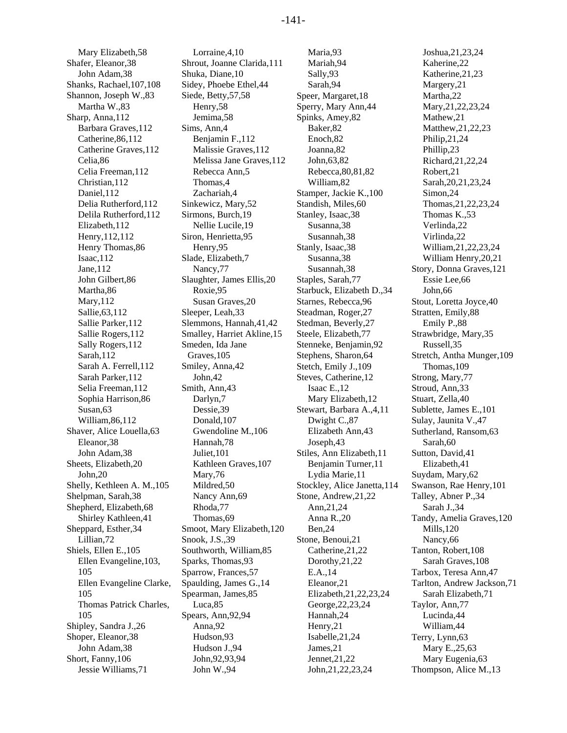Mary Elizabeth,58 Shafer, Eleanor,38 John Adam,38 Shanks, Rachael,107,108 Shannon, Joseph W.,83 Martha W.,83 Sharp, Anna,112 Barbara Graves,112 Catherine,86,112 Catherine Graves,112 Celia,86 Celia Freeman,112 Christian,112 Daniel,112 Delia Rutherford,112 Delila Rutherford,112 Elizabeth,112 Henry,112,112 Henry Thomas,86 Isaac,112 Jane,112 John Gilbert,86 Martha,86 Mary,112 Sallie,63,112 Sallie Parker,112 Sallie Rogers,112 Sally Rogers,112 Sarah,112 Sarah A. Ferrell,112 Sarah Parker,112 Selia Freeman,112 Sophia Harrison,86 Susan,63 William,86,112 Shaver, Alice Louella,63 Eleanor,38 John Adam,38 Sheets, Elizabeth,20 John,20 Shelly, Kethleen A. M.,105 Shelpman, Sarah,38 Shepherd, Elizabeth,68 Shirley Kathleen,41 Sheppard, Esther,34 Lillian,72 Shiels, Ellen E.,105 Ellen Evangeline,103, 105 Ellen Evangeline Clarke, 105 Thomas Patrick Charles, 105 Shipley, Sandra J.,26 Shoper, Eleanor,38 John Adam,38 Short, Fanny,106 Jessie Williams,71

Lorraine,4,10 Shrout, Joanne Clarida,111 Shuka, Diane,10 Sidey, Phoebe Ethel,44 Siede, Betty,57,58 Henry,58 Jemima,58 Sims, Ann,4 Benjamin F.,112 Malissie Graves,112 Melissa Jane Graves,112 Rebecca Ann,5 Thomas,4 Zachariah,4 Sinkewicz, Mary,52 Sirmons, Burch,19 Nellie Lucile,19 Siron, Henrietta,95 Henry,95 Slade, Elizabeth,7 Nancy,77 Slaughter, James Ellis,20 Roxie,95 Susan Graves,20 Sleeper, Leah,33 Slemmons, Hannah,41,42 Smalley, Harriet Akline,15 Smeden, Ida Jane Graves,105 Smiley, Anna,42 John,42 Smith, Ann,43 Darlyn,7 Dessie,39 Donald,107 Gwendoline M.,106 Hannah,78 Juliet,101 Kathleen Graves,107 Mary,76 Mildred,50 Nancy Ann,69 Rhoda,77 Thomas,69 Smoot, Mary Elizabeth,120 Snook, J.S.,39 Southworth, William,85 Sparks, Thomas,93 Sparrow, Frances,57 Spaulding, James G.,14 Spearman, James,85 Luca,85 Spears, Ann,92,94 Anna,92 Hudson,93 Hudson J.,94 John,92,93,94 John W.,94

Maria,93 Mariah,94 Sally,93 Sarah,94 Speer, Margaret,18 Sperry, Mary Ann,44 Spinks, Amey,82 Baker,82 Enoch,82 Joanna,82 John,63,82 Rebecca,80,81,82 William,82 Stamper, Jackie K.,100 Standish, Miles,60 Stanley, Isaac,38 Susanna,38 Susannah,38 Stanly, Isaac,38 Susanna,38 Susannah,38 Staples, Sarah,77 Starbuck, Elizabeth D.,34 Starnes, Rebecca,96 Steadman, Roger,27 Stedman, Beverly,27 Steele, Elizabeth,77 Stenneke, Benjamin,92 Stephens, Sharon,64 Stetch, Emily J.,109 Steves, Catherine,12 Isaac E.,12 Mary Elizabeth,12 Stewart, Barbara A.,4,11 Dwight C.,87 Elizabeth Ann,43 Joseph,43 Stiles, Ann Elizabeth,11 Benjamin Turner,11 Lydia Marie,11 Stockley, Alice Janetta,114 Stone, Andrew,21,22 Ann,21,24 Anna R.,20 Ben,24 Stone, Benoui,21 Catherine,21,22 Dorothy,21,22 E.A.,14 Eleanor,21 Elizabeth,21,22,23,24 George,22,23,24 Hannah,24 Henry,21 Isabelle,21,24 James,21 Jennet,21,22 John,21,22,23,24

Joshua,21,23,24 Kaherine,22 Katherine,21,23 Margery,21 Martha,22 Mary,21,22,23,24 Mathew,21 Matthew,21,22,23 Philip,21,24 Phillip,23 Richard,21,22,24 Robert,21 Sarah,20,21,23,24 Simon,24 Thomas,21,22,23,24 Thomas K.,53 Verlinda,22 Virlinda,22 William,21,22,23,24 William Henry,20,21 Story, Donna Graves,121 Essie Lee,66 John,66 Stout, Loretta Joyce,40 Stratten, Emily,88 Emily P.,88 Strawbridge, Mary,35 Russell,35 Stretch, Antha Munger,109 Thomas,109 Strong, Mary,77 Stroud, Ann,33 Stuart, Zella,40 Sublette, James E.,101 Sulay, Jaunita V.,47 Sutherland, Ransom,63 Sarah,60 Sutton, David,41 Elizabeth,41 Suydam, Mary,62 Swanson, Rae Henry,101 Talley, Abner P.,34 Sarah J.,34 Tandy, Amelia Graves,120 Mills,120 Nancy,66 Tanton, Robert,108 Sarah Graves,108 Tarbox, Teresa Ann,47 Tarlton, Andrew Jackson,71 Sarah Elizabeth,71 Taylor, Ann,77 Lucinda,44 William,44 Terry, Lynn,63 Mary E.,25,63 Mary Eugenia,63 Thompson, Alice M.,13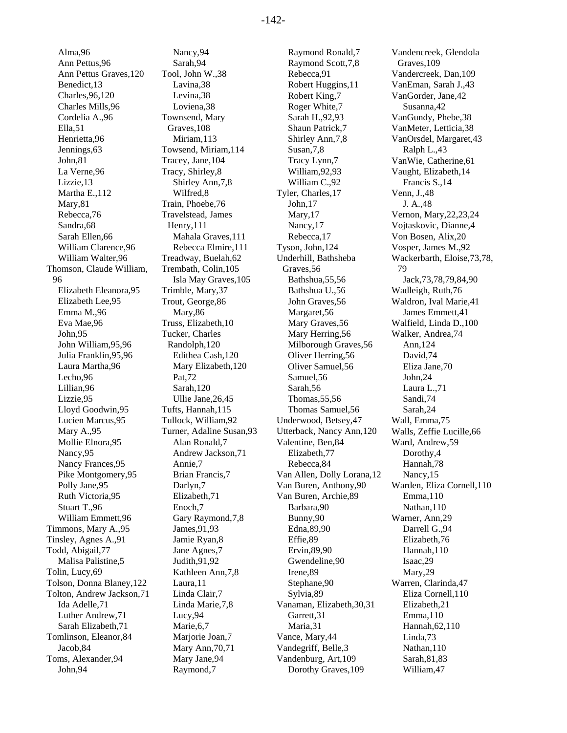Alma,96 Ann Pettus,96 Ann Pettus Graves,120 Benedict,13 Charles,96,120 Charles Mills,96 Cordelia A.,96 Ella,51 Henrietta,96 Jennings,63 John,81 La Verne,96 Lizzie,13 Martha E.,112 Mary,81 Rebecca,76 Sandra,68 Sarah Ellen,66 William Clarence,96 William Walter,96 Thomson, Claude William, 96 Elizabeth Eleanora,95 Elizabeth Lee,95 Emma M.,96 Eva Mae,96 John,95 John William,95,96 Julia Franklin,95,96 Laura Martha,96 Lecho,96 Lillian,96 Lizzie,95 Lloyd Goodwin,95 Lucien Marcus,95 Mary A.,95 Mollie Elnora,95 Nancy,95 Nancy Frances,95 Pike Montgomery,95 Polly Jane,95 Ruth Victoria,95 Stuart T.,96 William Emmett,96 Timmons, Mary A.,95 Tinsley, Agnes A.,91 Todd, Abigail,77 Malisa Palistine,5 Tolin, Lucy,69 Tolson, Donna Blaney,122 Tolton, Andrew Jackson,71 Ida Adelle,71 Luther Andrew,71 Sarah Elizabeth,71 Tomlinson, Eleanor,84 Jacob,84 Toms, Alexander,94 John,94

Nancy,94 Sarah,94 Tool, John W.,38 Lavina,38 Levina,38 Loviena,38 Townsend, Mary Graves,108 Miriam,113 Towsend, Miriam,114 Tracey, Jane,104 Tracy, Shirley,8 Shirley Ann,7,8 Wilfred,8 Train, Phoebe,76 Travelstead, James Henry,111 Mahala Graves,111 Rebecca Elmire,111 Treadway, Buelah,62 Trembath, Colin,105 Isla May Graves,105 Trimble, Mary,37 Trout, George,86 Mary,86 Truss, Elizabeth,10 Tucker, Charles Randolph,120 Edithea Cash,120 Mary Elizabeth,120 Pat,72 Sarah,120 Ullie Jane,26,45 Tufts, Hannah,115 Tullock, William,92 Turner, Adaline Susan,93 Alan Ronald,7 Andrew Jackson,71 Annie,7 Brian Francis,7 Darlyn,7 Elizabeth,71 Enoch,7 Gary Raymond,7,8 James,91,93 Jamie Ryan,8 Jane Agnes,7 Judith,91,92 Kathleen Ann,7,8 Laura,11 Linda Clair,7 Linda Marie,7,8 Lucy,94 Marie,6,7 Marjorie Joan,7 Mary Ann,70,71 Mary Jane,94 Raymond,7

Raymond Ronald,7 Raymond Scott,7,8 Rebecca,91 Robert Huggins,11 Robert King,7 Roger White,7 Sarah H.,92,93 Shaun Patrick,7 Shirley Ann,7,8 Susan,7,8 Tracy Lynn,7 William,92,93 William C.,92 Tyler, Charles,17 John,17 Mary,17 Nancy,17 Rebecca,17 Tyson, John,124 Underhill, Bathsheba Graves,56 Bathshua,55,56 Bathshua U.,56 John Graves,56 Margaret,56 Mary Graves,56 Mary Herring,56 Milborough Graves,56 Oliver Herring,56 Oliver Samuel,56 Samuel,56 Sarah,56 Thomas,55,56 Thomas Samuel,56 Underwood, Betsey,47 Utterback, Nancy Ann,120 Valentine, Ben,84 Elizabeth,77 Rebecca,84 Van Allen, Dolly Lorana,12 Van Buren, Anthony,90 Van Buren, Archie,89 Barbara,90 Bunny,90 Edna,89,90 Effie,89 Ervin,89,90 Gwendeline,90 Irene,89 Stephane,90 Sylvia,89 Vanaman, Elizabeth,30,31 Garrett,31 Maria,31 Vance, Mary,44 Vandegriff, Belle,3 Vandenburg, Art,109 Dorothy Graves,109

Vandencreek, Glendola Graves,109 Vandercreek, Dan,109 VanEman, Sarah J.,43 VanGorder, Jane,42 Susanna,42 VanGundy, Phebe,38 VanMeter, Letticia,38 VanOrsdel, Margaret,43 Ralph L.,43 VanWie, Catherine,61 Vaught, Elizabeth,14 Francis S.,14 Venn, J.,48 J. A.,48 Vernon, Mary,22,23,24 Vojtaskovic, Dianne,4 Von Bosen, Alix,20 Vosper, James M.,92 Wackerbarth, Eloise,73,78, 79 Jack,73,78,79,84,90 Wadleigh, Ruth,76 Waldron, Ival Marie,41 James Emmett,41 Walfield, Linda D.,100 Walker, Andrea,74 Ann,124 David,74 Eliza Jane,70 John,24 Laura L.,71 Sandi,74 Sarah,24 Wall, Emma,75 Walls, Zeffie Lucille,66 Ward, Andrew,59 Dorothy,4 Hannah,78 Nancy,15 Warden, Eliza Cornell,110 Emma,110 Nathan,110 Warner, Ann,29 Darrell G.,94 Elizabeth,76 Hannah,110 Isaac,29 Mary,29 Warren, Clarinda,47 Eliza Cornell,110 Elizabeth,21 Emma,110 Hannah,62,110 Linda,73 Nathan,110 Sarah,81,83 William,47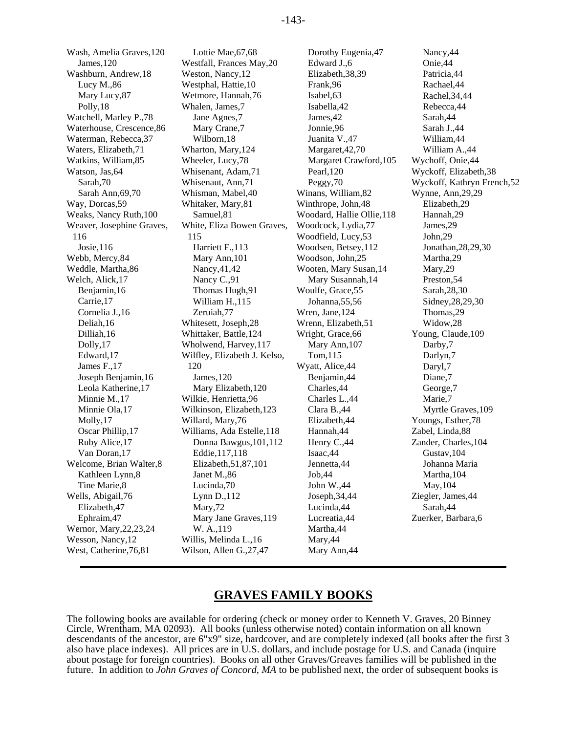Wash, Amelia Graves,120 Lottie Mae, 67,68 Dorothy Eugenia, 47 Nancy, 44 James,120 Westfall, Frances May,20 Edward J.,6 Onie,44 Washburn, Andrew,18 Weston, Nancy,12 Elizabeth,38,39 Patricia,44 Lucy M.,86 Westphal, Hattie,10 Frank,96 Rachael,44 Mary Lucy, 87 Wetmore, Hannah,76 Isabel,63 Rachel,34,44 Polly, 18 Whalen, James, 7 Isabella, 42 Rebecca, 44 Watchell, Marley P.,78 Jane Agnes,7 James,42 Sarah,44 Waterhouse, Crescence, 86 Mary Crane, 7 Jonnie, 96 Sarah J., 44 Waterman, Rebecca, 37 Wilborn, 18 Juanita V., 47 William, 44 Waters, Elizabeth, 71 Wharton, Mary, 124 Margaret, 42, 70 William A., 44 Watkins, William, 85 Wheeler, Lucy, 78 Margaret Crawford, 105 Wychoff, Onie, 44 Watson, Jas, 64 Whisenant, Adam, 71 Pearl, 120 Wyckoff, Elizabeth, 38 Sarah,70 Whisenaut, Ann,71 Peggy,70 Wyckoff, Kathryn French,52 Sarah Ann,69,70 Whisman, Mabel,40 Winans, William,82 Wynne, Ann,29,29 Way, Dorcas,59 Whitaker, Mary,81 Winthrope, John,48 Elizabeth,29 Weaks, Nancy Ruth,100 Samuel,81 Woodard, Hallie Ollie,118 Hannah,29 Weaver, Josephine Graves, 116 Josie,116 Harriett F.,113 Woodsen, Betsey,112 Jonathan,28,29,30 Webb, Mercy, 84 Mary Ann, 101 Woodson, John, 25 Martha, 29 Weddle, Martha, 86 Nancy, 41, 42 Wooten, Mary Susan, 14 Mary, 29 Welch, Alick, 17 Nancy C., 91 Mary Susannah, 14 Preston, 54 Benjamin,16 Thomas Hugh,91 Woulfe, Grace,55 Sarah,28,30 Carrie,17 William H.,115 Johanna,55,56 Sidney,28,29,30 Cornelia J.,16 Zeruiah,77 Wren, Jane,124 Thomas,29 Deliah,16 Whitesett, Joseph,28 Wrenn, Elizabeth,51 Widow,28 Dilliah,16 Whittaker, Battle,124 Wright, Grace,66 Young, Claude,109 Dolly, 17 Wholwend, Harvey, 117 Mary Ann, 107 Darby, 7 Edward,17 Wilfley, Elizabeth J. Kelso, James F., 17 120 120 Wyatt, Alice, 44 Daryl, 7 Joseph Benjamin,16 James,120 Benjamin,44 Diane,7 Leola Katherine,17 Mary Elizabeth,120 Charles,44 George,7 Minnie M., 17 Wilkie, Henrietta, 96 Charles L., 44 Marie, 7 Minnie Ola, 17 Wilkinson, Elizabeth, 123 Clara B., 44 Myrtle Graves, 109 Molly,17 Willard, Mary,76 Elizabeth,44 Youngs, Esther,78 Oscar Phillip,17 Williams, Ada Estelle,118 Hannah,44 Zabel, Linda,88 Ruby Alice,17 Donna Bawgus,101,112 Henry C.,44 Zander, Charles,104 Van Doran, 17 **Eddie, 117, 118** Isaac, 44 **Gustav, 104** Welcome, Brian Walter,8 Elizabeth,51,87,101 Jennetta,44 Johanna Maria Kathleen Lynn, 8 Janet M., 86 Job, 44 John Martha, 104 Tine Marie, 8 Lucinda, 70 Lucinda, 70 John W., 44 May, 104 Wells, Abigail,76 Lynn D.,112 Joseph,34,44 Ziegler, James,44 Elizabeth,47 Mary,72 Lucinda,44 Sarah,44 Ephraim,47 Mary Jane Graves,119 Lucreatia,44 Zuerker, Barbara,6 Wernor, Mary, 22, 23, 24 W. A., 119 Martha, 44 Wesson, Nancy, 12 Willis, Melinda L., 16 Mary, 44 West, Catherine, 76, 81 Wilson, Allen G., 27, 47 Mary Ann, 44

White, Eliza Bowen Graves, 115 120

Woodcock, Lydia, 77 James, 29 Woodfield, Lucy, 53 John, 29 Tom, 115 Darlyn, 7

## **GRAVES FAMILY BOOKS**

The following books are available for ordering (check or money order to Kenneth V. Graves, 20 Binney Circle, Wrentham, MA 02093). All books (unless otherwise noted) contain information on all known descendants of the ancestor, are 6"x9" size, hardcover, and are completely indexed (all books after the first 3 also have place indexes). All prices are in U.S. dollars, and include postage for U.S. and Canada (inquire about postage for foreign countries). Books on all other Graves/Greaves families will be published in the future. In addition to *John Graves of Concord, MA* to be published next, the order of subsequent books is